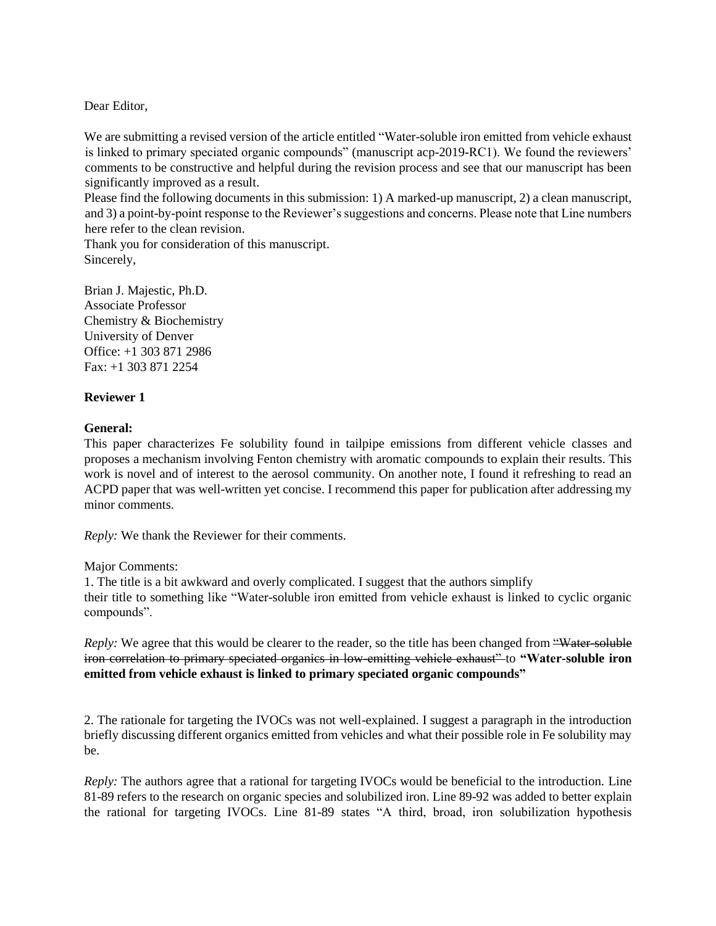Dear Editor,

We are submitting a revised version of the article entitled "Water-soluble iron emitted from vehicle exhaust is linked to primary speciated organic compounds" (manuscript acp-2019-RC1). We found the reviewers' comments to be constructive and helpful during the revision process and see that our manuscript has been significantly improved as a result.

Please find the following documents in this submission: 1) A marked-up manuscript, 2) a clean manuscript, and 3) a point-by-point response to the Reviewer's suggestions and concerns. Please note that Line numbers here refer to the clean revision.

Thank you for consideration of this manuscript. Sincerely,

Brian J. Majestic, Ph.D. Associate Professor Chemistry & Biochemistry University of Denver Office: +1 303 871 2986 Fax: +1 303 871 2254

### **Reviewer 1**

#### **General:**

This paper characterizes Fe solubility found in tailpipe emissions from different vehicle classes and proposes a mechanism involving Fenton chemistry with aromatic compounds to explain their results. This work is novel and of interest to the aerosol community. On another note, I found it refreshing to read an ACPD paper that was well-written yet concise. I recommend this paper for publication after addressing my minor comments.

*Reply:* We thank the Reviewer for their comments.

Major Comments:

1. The title is a bit awkward and overly complicated. I suggest that the authors simplify their title to something like "Water-soluble iron emitted from vehicle exhaust is linked to cyclic organic compounds".

*Reply:* We agree that this would be clearer to the reader, so the title has been changed from "Water-soluble" iron correlation to primary speciated organics in low-emitting vehicle exhaust" to **"Water-soluble iron emitted from vehicle exhaust is linked to primary speciated organic compounds"**

2. The rationale for targeting the IVOCs was not well-explained. I suggest a paragraph in the introduction briefly discussing different organics emitted from vehicles and what their possible role in Fe solubility may be.

*Reply:* The authors agree that a rational for targeting IVOCs would be beneficial to the introduction. Line 81-89 refers to the research on organic species and solubilized iron. Line 89-92 was added to better explain the rational for targeting IVOCs. Line 81-89 states "A third, broad, iron solubilization hypothesis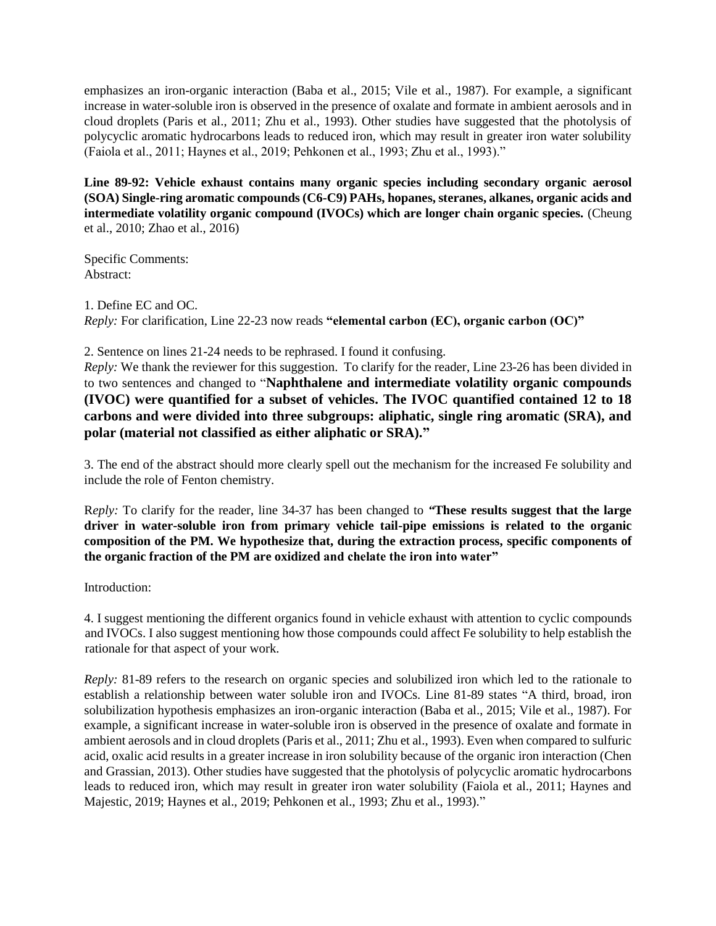emphasizes an iron-organic interaction (Baba et al., 2015; Vile et al., 1987). For example, a significant increase in water-soluble iron is observed in the presence of oxalate and formate in ambient aerosols and in cloud droplets (Paris et al., 2011; Zhu et al., 1993). Other studies have suggested that the photolysis of polycyclic aromatic hydrocarbons leads to reduced iron, which may result in greater iron water solubility (Faiola et al., 2011; Haynes et al., 2019; Pehkonen et al., 1993; Zhu et al., 1993)."

**Line 89-92: Vehicle exhaust contains many organic species including secondary organic aerosol (SOA) Single-ring aromatic compounds (C6-C9) PAHs, hopanes, steranes, alkanes, organic acids and intermediate volatility organic compound (IVOCs) which are longer chain organic species.** (Cheung et al., 2010; Zhao et al., 2016)

Specific Comments: Abstract:

1. Define EC and OC. *Reply:* For clarification, Line 22-23 now reads **"elemental carbon (EC), organic carbon (OC)"**

2. Sentence on lines 21-24 needs to be rephrased. I found it confusing.

*Reply:* We thank the reviewer for this suggestion. To clarify for the reader, Line 23-26 has been divided in to two sentences and changed to "**Naphthalene and intermediate volatility organic compounds (IVOC) were quantified for a subset of vehicles. The IVOC quantified contained 12 to 18 carbons and were divided into three subgroups: aliphatic, single ring aromatic (SRA), and polar (material not classified as either aliphatic or SRA)."**

3. The end of the abstract should more clearly spell out the mechanism for the increased Fe solubility and include the role of Fenton chemistry.

R*eply:* To clarify for the reader, line 34-37 has been changed to *"***These results suggest that the large driver in water-soluble iron from primary vehicle tail-pipe emissions is related to the organic composition of the PM. We hypothesize that, during the extraction process, specific components of the organic fraction of the PM are oxidized and chelate the iron into water"**

Introduction:

4. I suggest mentioning the different organics found in vehicle exhaust with attention to cyclic compounds and IVOCs. I also suggest mentioning how those compounds could affect Fe solubility to help establish the rationale for that aspect of your work.

*Reply:* 81-89 refers to the research on organic species and solubilized iron which led to the rationale to establish a relationship between water soluble iron and IVOCs. Line 81-89 states "A third, broad, iron solubilization hypothesis emphasizes an iron-organic interaction (Baba et al., 2015; Vile et al., 1987). For example, a significant increase in water-soluble iron is observed in the presence of oxalate and formate in ambient aerosols and in cloud droplets (Paris et al., 2011; Zhu et al., 1993). Even when compared to sulfuric acid, oxalic acid results in a greater increase in iron solubility because of the organic iron interaction (Chen and Grassian, 2013). Other studies have suggested that the photolysis of polycyclic aromatic hydrocarbons leads to reduced iron, which may result in greater iron water solubility (Faiola et al., 2011; Haynes and Majestic, 2019; Haynes et al., 2019; Pehkonen et al., 1993; Zhu et al., 1993)."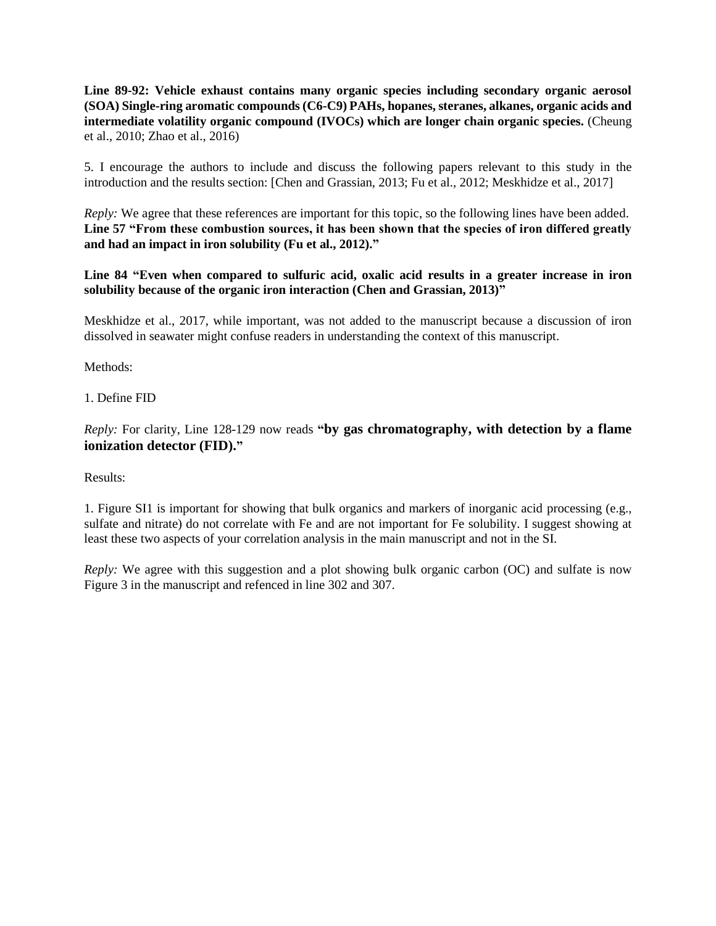**Line 89-92: Vehicle exhaust contains many organic species including secondary organic aerosol (SOA) Single-ring aromatic compounds (C6-C9) PAHs, hopanes, steranes, alkanes, organic acids and intermediate volatility organic compound (IVOCs) which are longer chain organic species.** (Cheung et al., 2010; Zhao et al., 2016)

5. I encourage the authors to include and discuss the following papers relevant to this study in the introduction and the results section: [Chen and Grassian, 2013; Fu et al., 2012; Meskhidze et al., 2017]

*Reply:* We agree that these references are important for this topic, so the following lines have been added. **Line 57 "From these combustion sources, it has been shown that the species of iron differed greatly and had an impact in iron solubility (Fu et al., 2012)."**

**Line 84 "Even when compared to sulfuric acid, oxalic acid results in a greater increase in iron solubility because of the organic iron interaction (Chen and Grassian, 2013)"**

Meskhidze et al., 2017, while important, was not added to the manuscript because a discussion of iron dissolved in seawater might confuse readers in understanding the context of this manuscript.

Methods:

1. Define FID

*Reply:* For clarity, Line 128-129 now reads **"by gas chromatography, with detection by a flame ionization detector (FID)."**

Results:

1. Figure SI1 is important for showing that bulk organics and markers of inorganic acid processing (e.g., sulfate and nitrate) do not correlate with Fe and are not important for Fe solubility. I suggest showing at least these two aspects of your correlation analysis in the main manuscript and not in the SI.

*Reply:* We agree with this suggestion and a plot showing bulk organic carbon (OC) and sulfate is now Figure 3 in the manuscript and refenced in line 302 and 307.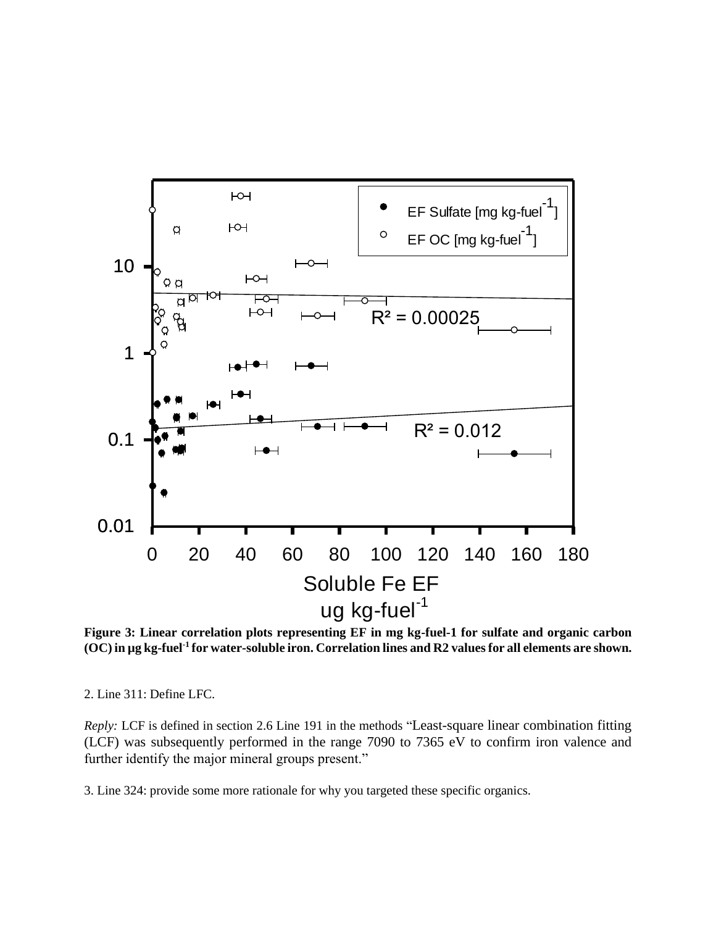

**Figure 3: Linear correlation plots representing EF in mg kg-fuel-1 for sulfate and organic carbon (OC) in µg kg-fuel-1 for water-soluble iron. Correlation lines and R2 values for all elements are shown.** 

2. Line 311: Define LFC.

*Reply:* LCF is defined in section 2.6 Line 191 in the methods "Least-square linear combination fitting (LCF) was subsequently performed in the range 7090 to 7365 eV to confirm iron valence and further identify the major mineral groups present."

3. Line 324: provide some more rationale for why you targeted these specific organics.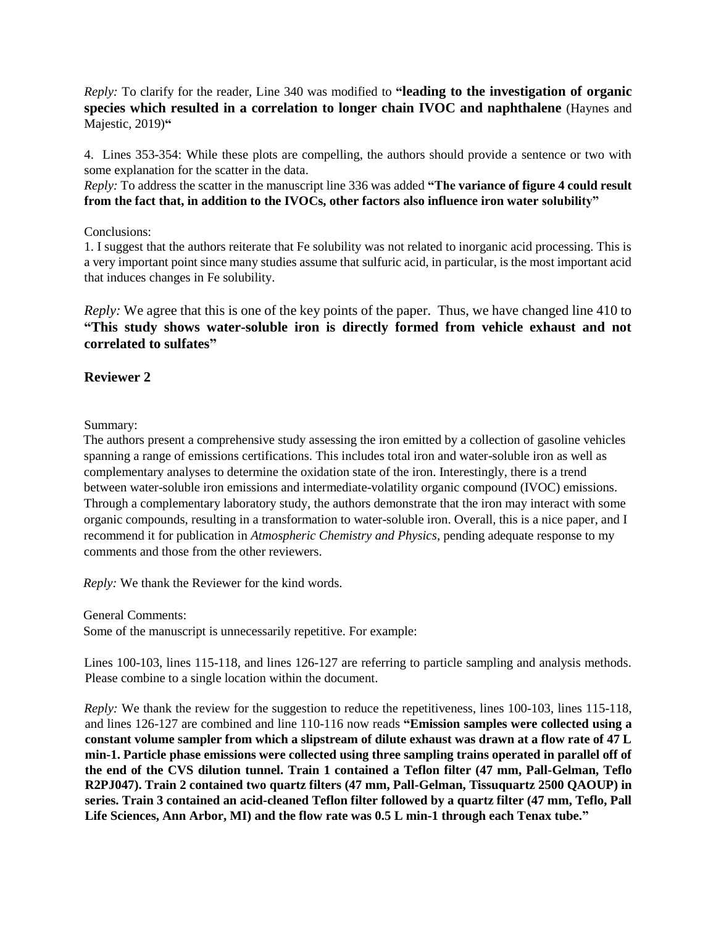*Reply:* To clarify for the reader, Line 340 was modified to **"leading to the investigation of organic species which resulted in a correlation to longer chain IVOC and naphthalene** (Haynes and Majestic, 2019)**"**

4. Lines 353-354: While these plots are compelling, the authors should provide a sentence or two with some explanation for the scatter in the data.

*Reply:* To address the scatter in the manuscript line 336 was added **"The variance of figure 4 could result from the fact that, in addition to the IVOCs, other factors also influence iron water solubility"**

### Conclusions:

1. I suggest that the authors reiterate that Fe solubility was not related to inorganic acid processing. This is a very important point since many studies assume that sulfuric acid, in particular, is the most important acid that induces changes in Fe solubility.

*Reply:* We agree that this is one of the key points of the paper. Thus, we have changed line 410 to **"This study shows water-soluble iron is directly formed from vehicle exhaust and not correlated to sulfates"**

## **Reviewer 2**

Summary:

The authors present a comprehensive study assessing the iron emitted by a collection of gasoline vehicles spanning a range of emissions certifications. This includes total iron and water-soluble iron as well as complementary analyses to determine the oxidation state of the iron. Interestingly, there is a trend between water-soluble iron emissions and intermediate-volatility organic compound (IVOC) emissions. Through a complementary laboratory study, the authors demonstrate that the iron may interact with some organic compounds, resulting in a transformation to water-soluble iron. Overall, this is a nice paper, and I recommend it for publication in *Atmospheric Chemistry and Physics*, pending adequate response to my comments and those from the other reviewers.

*Reply:* We thank the Reviewer for the kind words.

General Comments:

Some of the manuscript is unnecessarily repetitive. For example:

Lines 100-103, lines 115-118, and lines 126-127 are referring to particle sampling and analysis methods. Please combine to a single location within the document.

*Reply:* We thank the review for the suggestion to reduce the repetitiveness, lines 100-103, lines 115-118, and lines 126-127 are combined and line 110-116 now reads **"Emission samples were collected using a constant volume sampler from which a slipstream of dilute exhaust was drawn at a flow rate of 47 L min-1. Particle phase emissions were collected using three sampling trains operated in parallel off of the end of the CVS dilution tunnel. Train 1 contained a Teflon filter (47 mm, Pall-Gelman, Teflo R2PJ047). Train 2 contained two quartz filters (47 mm, Pall-Gelman, Tissuquartz 2500 QAOUP) in series. Train 3 contained an acid-cleaned Teflon filter followed by a quartz filter (47 mm, Teflo, Pall Life Sciences, Ann Arbor, MI) and the flow rate was 0.5 L min-1 through each Tenax tube."**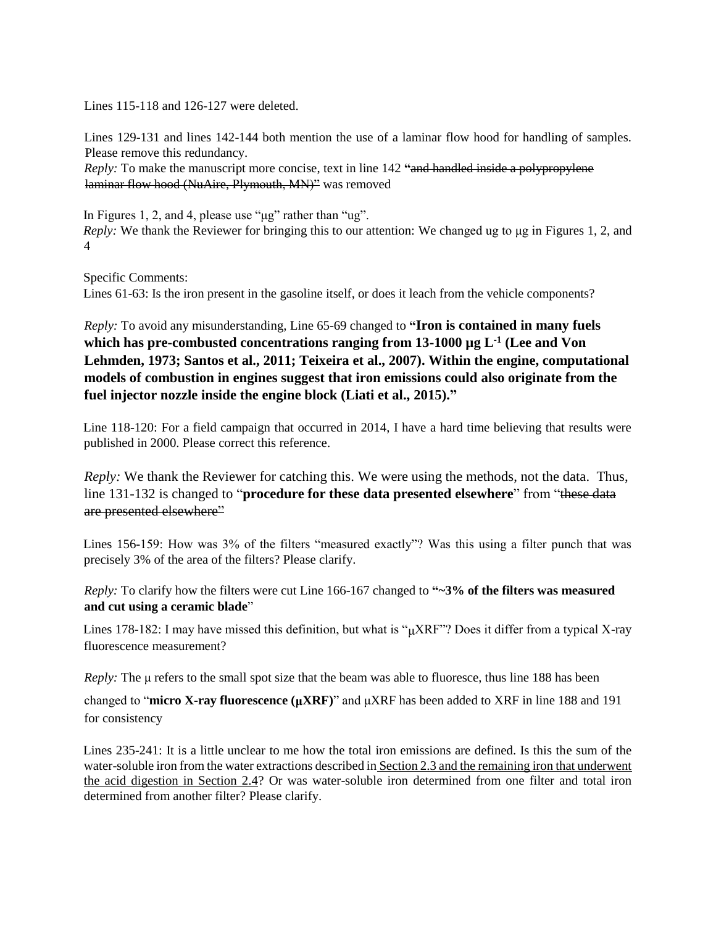Lines 115-118 and 126-127 were deleted.

Lines 129-131 and lines 142-144 both mention the use of a laminar flow hood for handling of samples. Please remove this redundancy.

*Reply:* To make the manuscript more concise, text in line 142 **"**and handled inside a polypropylene laminar flow hood (NuAire, Plymouth, MN)" was removed

In Figures 1, 2, and 4, please use "μg" rather than "ug". *Reply:* We thank the Reviewer for bringing this to our attention: We changed ug to μg in Figures 1, 2, and 4

Specific Comments:

Lines 61-63: Is the iron present in the gasoline itself, or does it leach from the vehicle components?

*Reply:* To avoid any misunderstanding, Line 65-69 changed to **"Iron is contained in many fuels which has pre-combusted concentrations ranging from 13-1000 µg L-1 (Lee and Von Lehmden, 1973; Santos et al., 2011; Teixeira et al., 2007). Within the engine, computational models of combustion in engines suggest that iron emissions could also originate from the fuel injector nozzle inside the engine block (Liati et al., 2015)."**

Line 118-120: For a field campaign that occurred in 2014, I have a hard time believing that results were published in 2000. Please correct this reference.

*Reply:* We thank the Reviewer for catching this. We were using the methods, not the data. Thus, line 131-132 is changed to "**procedure for these data presented elsewhere**" from "these data are presented elsewhere"

Lines 156-159: How was 3% of the filters "measured exactly"? Was this using a filter punch that was precisely 3% of the area of the filters? Please clarify.

*Reply:* To clarify how the filters were cut Line 166-167 changed to **"~3% of the filters was measured and cut using a ceramic blade**"

Lines 178-182: I may have missed this definition, but what is " $\mu$ XRF"? Does it differ from a typical X-ray fluorescence measurement?

*Reply:* The μ refers to the small spot size that the beam was able to fluoresce, thus line 188 has been changed to "**micro X-ray fluorescence (μXRF)**" and μXRF has been added to XRF in line 188 and 191

for consistency

Lines 235-241: It is a little unclear to me how the total iron emissions are defined. Is this the sum of the water-soluble iron from the water extractions described in Section 2.3 and the remaining iron that underwent the acid digestion in Section 2.4? Or was water-soluble iron determined from one filter and total iron determined from another filter? Please clarify.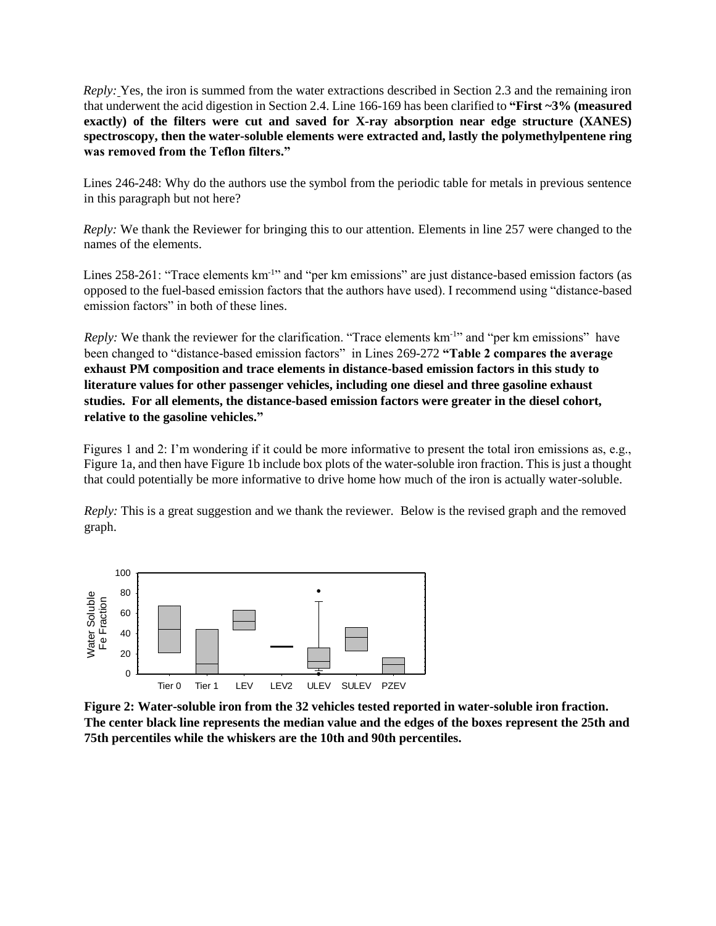*Reply:* Yes, the iron is summed from the water extractions described in Section 2.3 and the remaining iron that underwent the acid digestion in Section 2.4. Line 166-169 has been clarified to **"First ~3% (measured exactly) of the filters were cut and saved for X-ray absorption near edge structure (XANES) spectroscopy, then the water-soluble elements were extracted and, lastly the polymethylpentene ring was removed from the Teflon filters."**

Lines 246-248: Why do the authors use the symbol from the periodic table for metals in previous sentence in this paragraph but not here?

*Reply:* We thank the Reviewer for bringing this to our attention. Elements in line 257 were changed to the names of the elements.

Lines 258-261: "Trace elements km<sup>-1</sup>" and "per km emissions" are just distance-based emission factors (as opposed to the fuel-based emission factors that the authors have used). I recommend using "distance-based emission factors" in both of these lines.

*Reply:* We thank the reviewer for the clarification. "Trace elements km<sup>-1</sup>" and "per km emissions" have been changed to "distance-based emission factors" in Lines 269-272 **"Table 2 compares the average exhaust PM composition and trace elements in distance-based emission factors in this study to literature values for other passenger vehicles, including one diesel and three gasoline exhaust studies. For all elements, the distance-based emission factors were greater in the diesel cohort, relative to the gasoline vehicles."**

Figures 1 and 2: I'm wondering if it could be more informative to present the total iron emissions as, e.g., Figure 1a, and then have Figure 1b include box plots of the water-soluble iron fraction. This is just a thought that could potentially be more informative to drive home how much of the iron is actually water-soluble.

*Reply:* This is a great suggestion and we thank the reviewer. Below is the revised graph and the removed graph.



**Figure 2: Water-soluble iron from the 32 vehicles tested reported in water-soluble iron fraction. The center black line represents the median value and the edges of the boxes represent the 25th and 75th percentiles while the whiskers are the 10th and 90th percentiles.**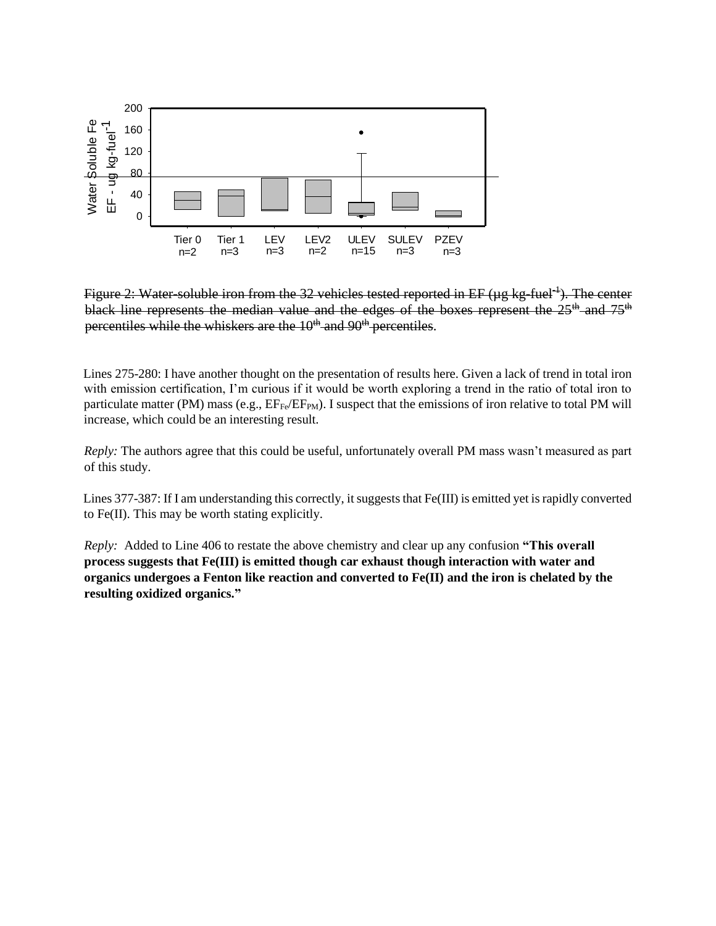

Figure 2: Water-soluble iron from the 32 vehicles tested reported in EF ( $\mu$ g kg-fuel<sup>-1</sup>). The center black line represents the median value and the edges of the boxes represent the  $25<sup>th</sup>$  and  $75<sup>th</sup>$ percentiles while the whiskers are the  $10<sup>th</sup>$  and  $90<sup>th</sup>$  percentiles.

Lines 275-280: I have another thought on the presentation of results here. Given a lack of trend in total iron with emission certification, I'm curious if it would be worth exploring a trend in the ratio of total iron to particulate matter (PM) mass (e.g.,  $EF_{Fe}/EF_{PM}$ ). I suspect that the emissions of iron relative to total PM will increase, which could be an interesting result.

*Reply:* The authors agree that this could be useful, unfortunately overall PM mass wasn't measured as part of this study.

Lines 377-387: If I am understanding this correctly, it suggests that Fe(III) is emitted yet is rapidly converted to Fe(II). This may be worth stating explicitly.

*Reply:* Added to Line 406 to restate the above chemistry and clear up any confusion **"This overall process suggests that Fe(III) is emitted though car exhaust though interaction with water and organics undergoes a Fenton like reaction and converted to Fe(II) and the iron is chelated by the resulting oxidized organics."**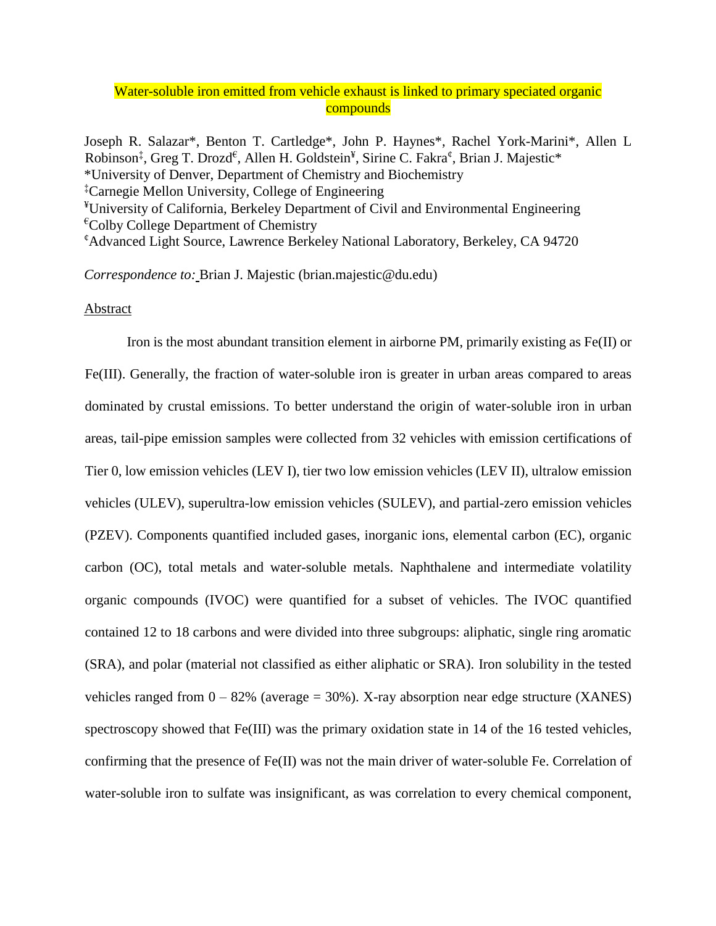# Water-soluble iron emitted from vehicle exhaust is linked to primary speciated organic **compounds**

Joseph R. Salazar\*, Benton T. Cartledge\*, John P. Haynes\*, Rachel York-Marini\*, Allen L Robinson<sup>‡</sup>, Greg T. Drozd<sup>€</sup>, Allen H. Goldstein<sup>¥</sup>, Sirine C. Fakra<sup>¢</sup>, Brian J. Majestic\* \*University of Denver, Department of Chemistry and Biochemistry ‡Carnegie Mellon University, College of Engineering ¥University of California, Berkeley Department of Civil and Environmental Engineering  ${}^{\epsilon}$ Colby College Department of Chemistry ¢Advanced Light Source, Lawrence Berkeley National Laboratory, Berkeley, CA 94720

*Correspondence to:* Brian J. Majestic (brian.majestic@du.edu)

#### **Abstract**

Iron is the most abundant transition element in airborne PM, primarily existing as  $Fe(II)$  or Fe(III). Generally, the fraction of water-soluble iron is greater in urban areas compared to areas dominated by crustal emissions. To better understand the origin of water-soluble iron in urban areas, tail-pipe emission samples were collected from 32 vehicles with emission certifications of Tier 0, low emission vehicles (LEV I), tier two low emission vehicles (LEV II), ultralow emission vehicles (ULEV), superultra-low emission vehicles (SULEV), and partial-zero emission vehicles (PZEV). Components quantified included gases, inorganic ions, elemental carbon (EC), organic carbon (OC), total metals and water-soluble metals. Naphthalene and intermediate volatility organic compounds (IVOC) were quantified for a subset of vehicles. The IVOC quantified contained 12 to 18 carbons and were divided into three subgroups: aliphatic, single ring aromatic (SRA), and polar (material not classified as either aliphatic or SRA). Iron solubility in the tested vehicles ranged from  $0 - 82\%$  (average = 30%). X-ray absorption near edge structure (XANES) spectroscopy showed that Fe(III) was the primary oxidation state in 14 of the 16 tested vehicles, confirming that the presence of Fe(II) was not the main driver of water-soluble Fe. Correlation of water-soluble iron to sulfate was insignificant, as was correlation to every chemical component,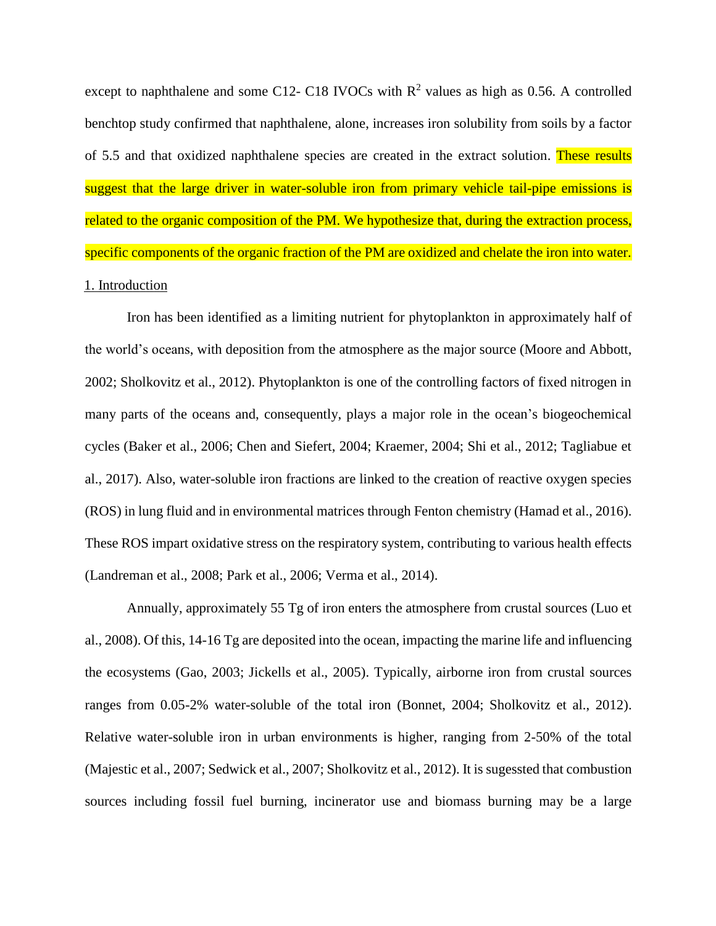except to naphthalene and some C12- C18 IVOCs with  $R^2$  values as high as 0.56. A controlled benchtop study confirmed that naphthalene, alone, increases iron solubility from soils by a factor of 5.5 and that oxidized naphthalene species are created in the extract solution. These results suggest that the large driver in water-soluble iron from primary vehicle tail-pipe emissions is related to the organic composition of the PM. We hypothesize that, during the extraction process, specific components of the organic fraction of the PM are oxidized and chelate the iron into water. 1. Introduction

Iron has been identified as a limiting nutrient for phytoplankton in approximately half of the world's oceans, with deposition from the atmosphere as the major source (Moore and Abbott, 2002; Sholkovitz et al., 2012). Phytoplankton is one of the controlling factors of fixed nitrogen in many parts of the oceans and, consequently, plays a major role in the ocean's biogeochemical cycles (Baker et al., 2006; Chen and Siefert, 2004; Kraemer, 2004; Shi et al., 2012; Tagliabue et al., 2017). Also, water-soluble iron fractions are linked to the creation of reactive oxygen species (ROS) in lung fluid and in environmental matrices through Fenton chemistry (Hamad et al., 2016). These ROS impart oxidative stress on the respiratory system, contributing to various health effects (Landreman et al., 2008; Park et al., 2006; Verma et al., 2014).

Annually, approximately 55 Tg of iron enters the atmosphere from crustal sources (Luo et al., 2008). Of this, 14-16 Tg are deposited into the ocean, impacting the marine life and influencing the ecosystems (Gao, 2003; Jickells et al., 2005). Typically, airborne iron from crustal sources ranges from 0.05-2% water-soluble of the total iron (Bonnet, 2004; Sholkovitz et al., 2012). Relative water-soluble iron in urban environments is higher, ranging from 2-50% of the total (Majestic et al., 2007; Sedwick et al., 2007; Sholkovitz et al., 2012). It is sugessted that combustion sources including fossil fuel burning, incinerator use and biomass burning may be a large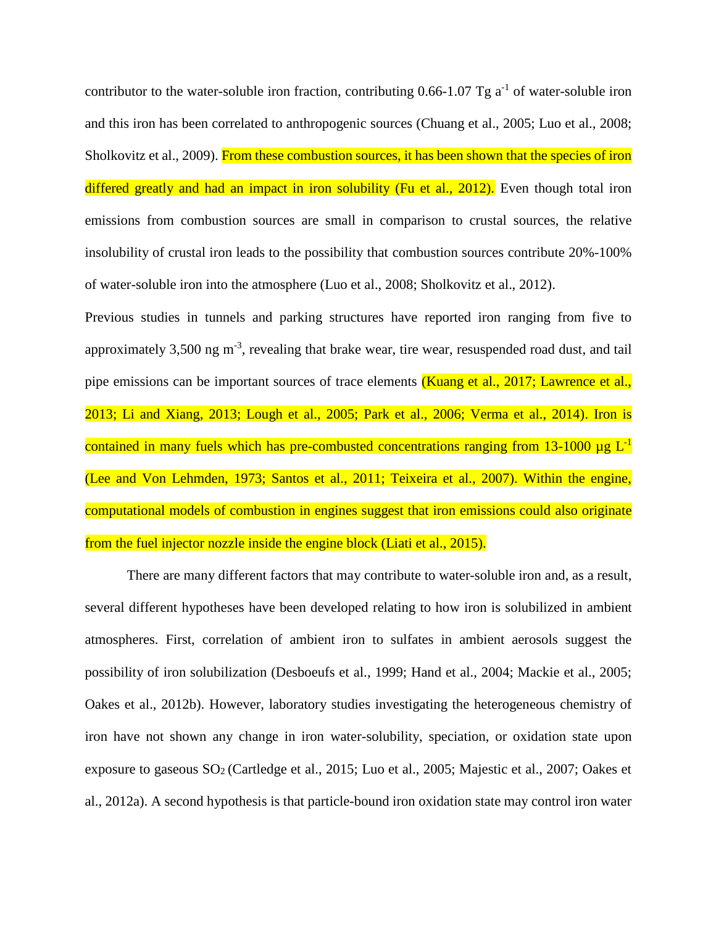contributor to the water-soluble iron fraction, contributing  $0.66$ -1.07 Tg a<sup>-1</sup> of water-soluble iron and this iron has been correlated to anthropogenic sources (Chuang et al., 2005; Luo et al., 2008; Sholkovitz et al., 2009). From these combustion sources, it has been shown that the species of iron differed greatly and had an impact in iron solubility (Fu et al., 2012). Even though total iron emissions from combustion sources are small in comparison to crustal sources, the relative insolubility of crustal iron leads to the possibility that combustion sources contribute 20%-100% of water-soluble iron into the atmosphere (Luo et al., 2008; Sholkovitz et al., 2012).

Previous studies in tunnels and parking structures have reported iron ranging from five to approximately  $3,500$  ng m<sup>-3</sup>, revealing that brake wear, tire wear, resuspended road dust, and tail pipe emissions can be important sources of trace elements (Kuang et al., 2017; Lawrence et al., 2013; Li and Xiang, 2013; Lough et al., 2005; Park et al., 2006; Verma et al., 2014). Iron is contained in many fuels which has pre-combusted concentrations ranging from 13-1000  $\mu$ g L<sup>-1</sup> (Lee and Von Lehmden, 1973; Santos et al., 2011; Teixeira et al., 2007). Within the engine, computational models of combustion in engines suggest that iron emissions could also originate from the fuel injector nozzle inside the engine block (Liati et al., 2015).

There are many different factors that may contribute to water-soluble iron and, as a result, several different hypotheses have been developed relating to how iron is solubilized in ambient atmospheres. First, correlation of ambient iron to sulfates in ambient aerosols suggest the possibility of iron solubilization (Desboeufs et al., 1999; Hand et al., 2004; Mackie et al., 2005; Oakes et al., 2012b). However, laboratory studies investigating the heterogeneous chemistry of iron have not shown any change in iron water-solubility, speciation, or oxidation state upon exposure to gaseous SO<sup>2</sup> (Cartledge et al., 2015; Luo et al., 2005; Majestic et al., 2007; Oakes et al., 2012a). A second hypothesis is that particle-bound iron oxidation state may control iron water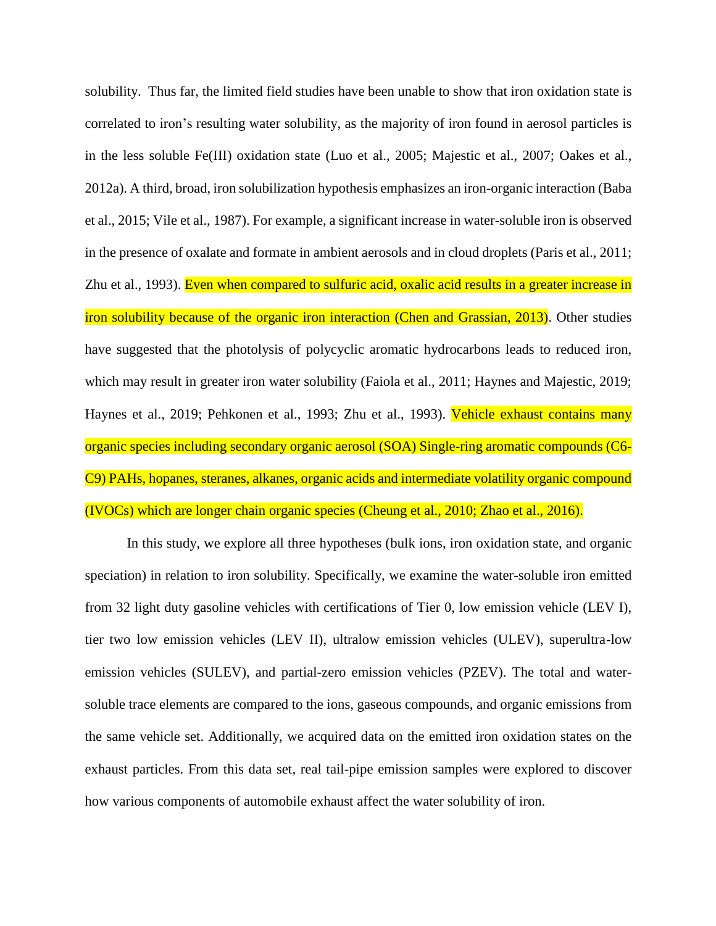solubility. Thus far, the limited field studies have been unable to show that iron oxidation state is correlated to iron's resulting water solubility, as the majority of iron found in aerosol particles is in the less soluble Fe(III) oxidation state (Luo et al., 2005; Majestic et al., 2007; Oakes et al., 2012a). A third, broad, iron solubilization hypothesis emphasizes an iron-organic interaction (Baba et al., 2015; Vile et al., 1987). For example, a significant increase in water-soluble iron is observed in the presence of oxalate and formate in ambient aerosols and in cloud droplets (Paris et al., 2011; Zhu et al., 1993). Even when compared to sulfuric acid, oxalic acid results in a greater increase in iron solubility because of the organic iron interaction (Chen and Grassian, 2013). Other studies have suggested that the photolysis of polycyclic aromatic hydrocarbons leads to reduced iron, which may result in greater iron water solubility (Faiola et al., 2011; Haynes and Majestic, 2019; Haynes et al., 2019; Pehkonen et al., 1993; Zhu et al., 1993). Vehicle exhaust contains many organic species including secondary organic aerosol (SOA) Single-ring aromatic compounds (C6- C9) PAHs, hopanes, steranes, alkanes, organic acids and intermediate volatility organic compound (IVOCs) which are longer chain organic species (Cheung et al., 2010; Zhao et al., 2016).

In this study, we explore all three hypotheses (bulk ions, iron oxidation state, and organic speciation) in relation to iron solubility. Specifically, we examine the water-soluble iron emitted from 32 light duty gasoline vehicles with certifications of Tier 0, low emission vehicle (LEV I), tier two low emission vehicles (LEV II), ultralow emission vehicles (ULEV), superultra-low emission vehicles (SULEV), and partial-zero emission vehicles (PZEV). The total and watersoluble trace elements are compared to the ions, gaseous compounds, and organic emissions from the same vehicle set. Additionally, we acquired data on the emitted iron oxidation states on the exhaust particles. From this data set, real tail-pipe emission samples were explored to discover how various components of automobile exhaust affect the water solubility of iron.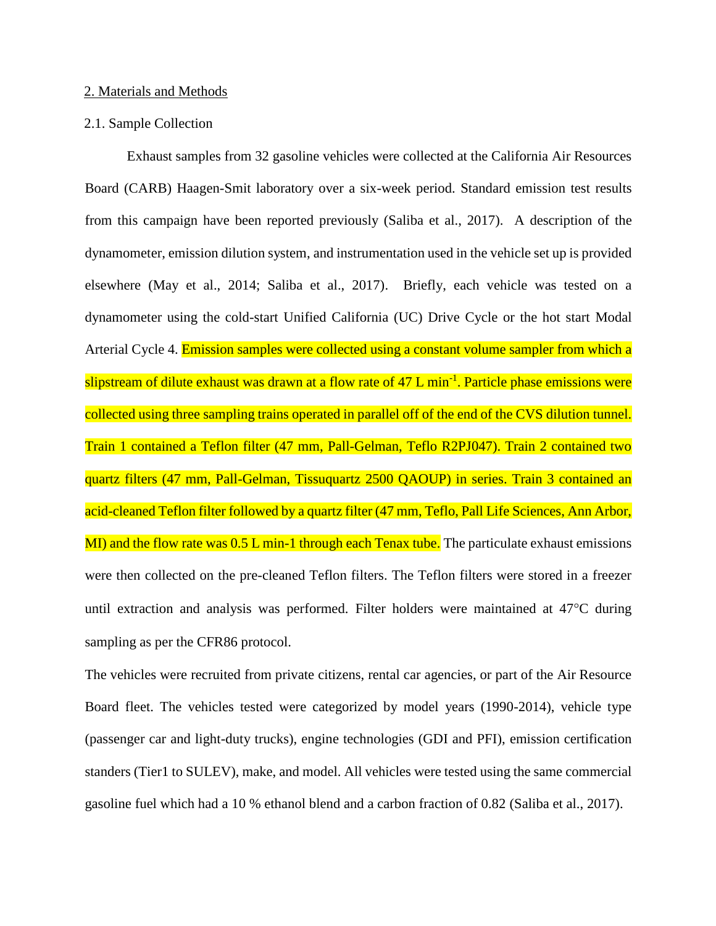#### 2. Materials and Methods

#### 2.1. Sample Collection

Exhaust samples from 32 gasoline vehicles were collected at the California Air Resources Board (CARB) Haagen-Smit laboratory over a six-week period. Standard emission test results from this campaign have been reported previously (Saliba et al., 2017). A description of the dynamometer, emission dilution system, and instrumentation used in the vehicle set up is provided elsewhere (May et al., 2014; Saliba et al., 2017). Briefly, each vehicle was tested on a dynamometer using the cold-start Unified California (UC) Drive Cycle or the hot start Modal Arterial Cycle 4. Emission samples were collected using a constant volume sampler from which a slipstream of dilute exhaust was drawn at a flow rate of 47 L min<sup>-1</sup>. Particle phase emissions were collected using three sampling trains operated in parallel off of the end of the CVS dilution tunnel. Train 1 contained a Teflon filter (47 mm, Pall-Gelman, Teflo R2PJ047). Train 2 contained two quartz filters (47 mm, Pall-Gelman, Tissuquartz 2500 QAOUP) in series. Train 3 contained an acid-cleaned Teflon filter followed by a quartz filter (47 mm, Teflo, Pall Life Sciences, Ann Arbor, MI) and the flow rate was 0.5 L min-1 through each Tenax tube. The particulate exhaust emissions were then collected on the pre-cleaned Teflon filters. The Teflon filters were stored in a freezer until extraction and analysis was performed. Filter holders were maintained at  $47^{\circ}$ C during sampling as per the CFR86 protocol.

The vehicles were recruited from private citizens, rental car agencies, or part of the Air Resource Board fleet. The vehicles tested were categorized by model years (1990-2014), vehicle type (passenger car and light-duty trucks), engine technologies (GDI and PFI), emission certification standers (Tier1 to SULEV), make, and model. All vehicles were tested using the same commercial gasoline fuel which had a 10 % ethanol blend and a carbon fraction of 0.82 (Saliba et al., 2017).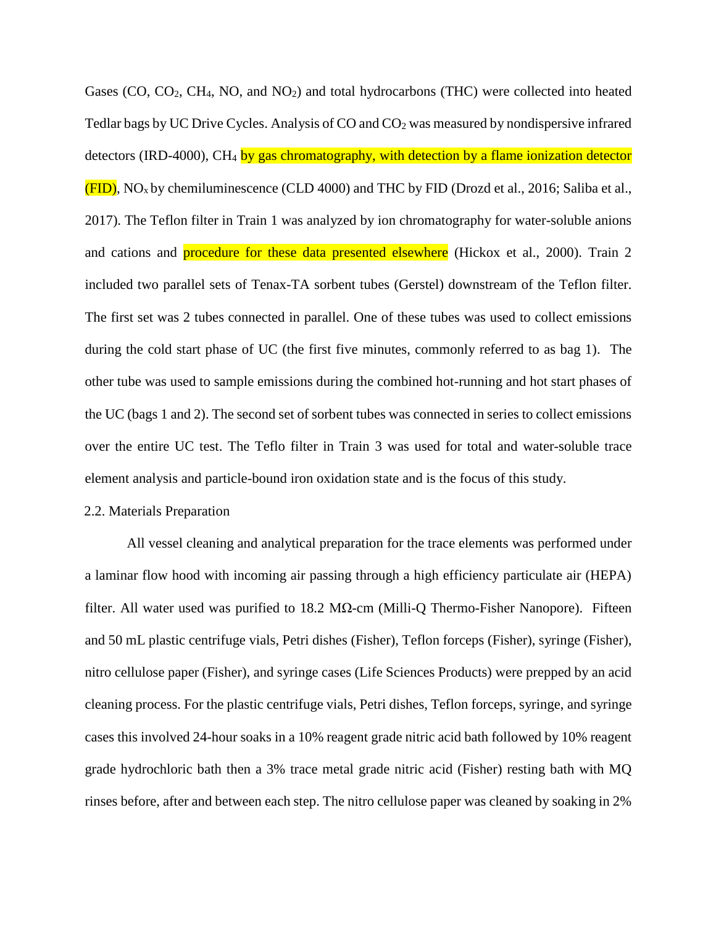Gases (CO, CO<sub>2</sub>, CH<sub>4</sub>, NO, and NO<sub>2</sub>) and total hydrocarbons (THC) were collected into heated Tedlar bags by UC Drive Cycles. Analysis of CO and  $CO<sub>2</sub>$  was measured by nondispersive infrared detectors (IRD-4000), CH<sub>4</sub> by gas chromatography, with detection by a flame ionization detector  $(FID)$ , NO<sub>x</sub> by chemiluminescence (CLD 4000) and THC by FID (Drozd et al., 2016; Saliba et al., 2017). The Teflon filter in Train 1 was analyzed by ion chromatography for water-soluble anions and cations and **procedure for these data presented elsewhere** (Hickox et al., 2000). Train 2 included two parallel sets of Tenax-TA sorbent tubes (Gerstel) downstream of the Teflon filter. The first set was 2 tubes connected in parallel. One of these tubes was used to collect emissions during the cold start phase of UC (the first five minutes, commonly referred to as bag 1). The other tube was used to sample emissions during the combined hot-running and hot start phases of the UC (bags 1 and 2). The second set of sorbent tubes was connected in series to collect emissions over the entire UC test. The Teflo filter in Train 3 was used for total and water-soluble trace element analysis and particle-bound iron oxidation state and is the focus of this study.

#### 2.2. Materials Preparation

All vessel cleaning and analytical preparation for the trace elements was performed under a laminar flow hood with incoming air passing through a high efficiency particulate air (HEPA) filter. All water used was purified to 18.2 MΩ-cm (Milli-Q Thermo-Fisher Nanopore). Fifteen and 50 mL plastic centrifuge vials, Petri dishes (Fisher), Teflon forceps (Fisher), syringe (Fisher), nitro cellulose paper (Fisher), and syringe cases (Life Sciences Products) were prepped by an acid cleaning process. For the plastic centrifuge vials, Petri dishes, Teflon forceps, syringe, and syringe cases this involved 24-hour soaks in a 10% reagent grade nitric acid bath followed by 10% reagent grade hydrochloric bath then a 3% trace metal grade nitric acid (Fisher) resting bath with MQ rinses before, after and between each step. The nitro cellulose paper was cleaned by soaking in 2%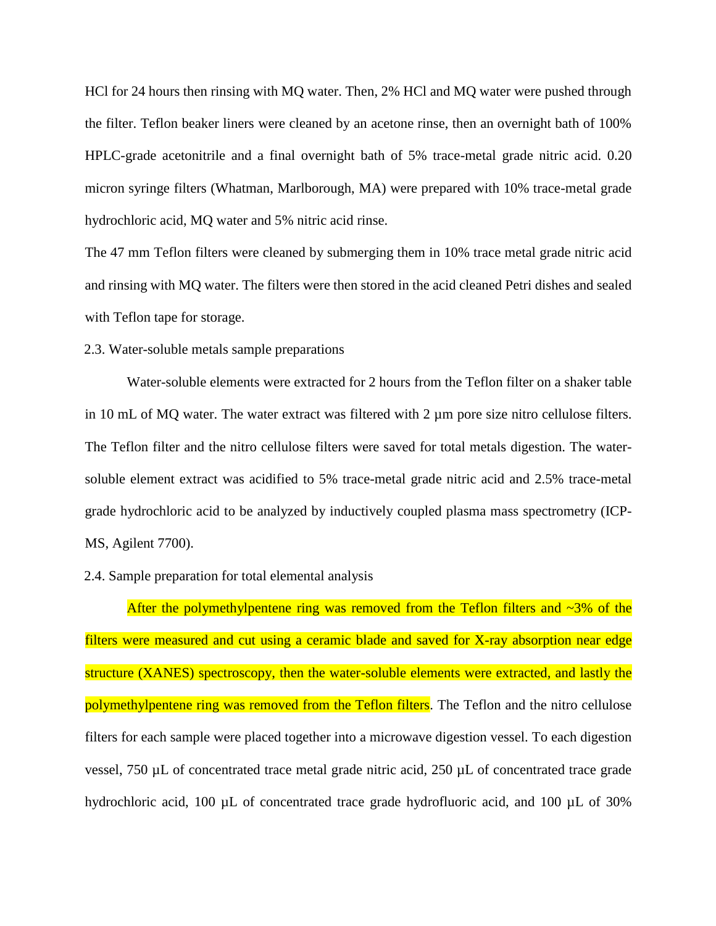HCl for 24 hours then rinsing with MQ water. Then, 2% HCl and MQ water were pushed through the filter. Teflon beaker liners were cleaned by an acetone rinse, then an overnight bath of 100% HPLC-grade acetonitrile and a final overnight bath of 5% trace-metal grade nitric acid. 0.20 micron syringe filters (Whatman, Marlborough, MA) were prepared with 10% trace-metal grade hydrochloric acid, MQ water and 5% nitric acid rinse.

The 47 mm Teflon filters were cleaned by submerging them in 10% trace metal grade nitric acid and rinsing with MQ water. The filters were then stored in the acid cleaned Petri dishes and sealed with Teflon tape for storage.

### 2.3. Water-soluble metals sample preparations

Water-soluble elements were extracted for 2 hours from the Teflon filter on a shaker table in 10 mL of MQ water. The water extract was filtered with  $2 \mu m$  pore size nitro cellulose filters. The Teflon filter and the nitro cellulose filters were saved for total metals digestion. The watersoluble element extract was acidified to 5% trace-metal grade nitric acid and 2.5% trace-metal grade hydrochloric acid to be analyzed by inductively coupled plasma mass spectrometry (ICP-MS, Agilent 7700).

### 2.4. Sample preparation for total elemental analysis

After the polymethylpentene ring was removed from the Teflon filters and  $\sim$ 3% of the filters were measured and cut using a ceramic blade and saved for X-ray absorption near edge structure (XANES) spectroscopy, then the water-soluble elements were extracted, and lastly the polymethylpentene ring was removed from the Teflon filters. The Teflon and the nitro cellulose filters for each sample were placed together into a microwave digestion vessel. To each digestion vessel, 750 µL of concentrated trace metal grade nitric acid, 250 µL of concentrated trace grade hydrochloric acid, 100  $\mu$ L of concentrated trace grade hydrofluoric acid, and 100  $\mu$ L of 30%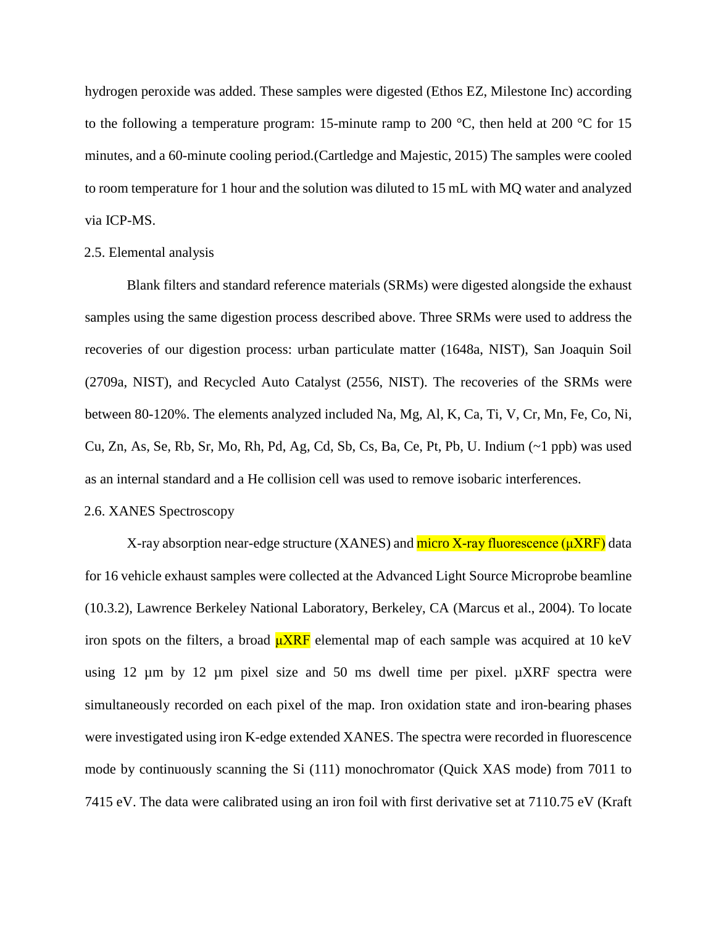hydrogen peroxide was added. These samples were digested (Ethos EZ, Milestone Inc) according to the following a temperature program: 15-minute ramp to 200  $^{\circ}$ C, then held at 200  $^{\circ}$ C for 15 minutes, and a 60-minute cooling period.(Cartledge and Majestic, 2015) The samples were cooled to room temperature for 1 hour and the solution was diluted to 15 mL with MQ water and analyzed via ICP-MS.

#### 2.5. Elemental analysis

Blank filters and standard reference materials (SRMs) were digested alongside the exhaust samples using the same digestion process described above. Three SRMs were used to address the recoveries of our digestion process: urban particulate matter (1648a, NIST), San Joaquin Soil (2709a, NIST), and Recycled Auto Catalyst (2556, NIST). The recoveries of the SRMs were between 80-120%. The elements analyzed included Na, Mg, Al, K, Ca, Ti, V, Cr, Mn, Fe, Co, Ni, Cu, Zn, As, Se, Rb, Sr, Mo, Rh, Pd, Ag, Cd, Sb, Cs, Ba, Ce, Pt, Pb, U. Indium (~1 ppb) was used as an internal standard and a He collision cell was used to remove isobaric interferences.

#### 2.6. XANES Spectroscopy

X-ray absorption near-edge structure (XANES) and micro X-ray fluorescence (μXRF) data for 16 vehicle exhaust samples were collected at the Advanced Light Source Microprobe beamline (10.3.2), Lawrence Berkeley National Laboratory, Berkeley, CA (Marcus et al., 2004). To locate iron spots on the filters, a broad  $\mu XRF$  elemental map of each sample was acquired at 10 keV using 12  $\mu$ m by 12  $\mu$ m pixel size and 50 ms dwell time per pixel.  $\mu$ XRF spectra were simultaneously recorded on each pixel of the map. Iron oxidation state and iron-bearing phases were investigated using iron K-edge extended XANES. The spectra were recorded in fluorescence mode by continuously scanning the Si (111) monochromator (Quick XAS mode) from 7011 to 7415 eV. The data were calibrated using an iron foil with first derivative set at 7110.75 eV (Kraft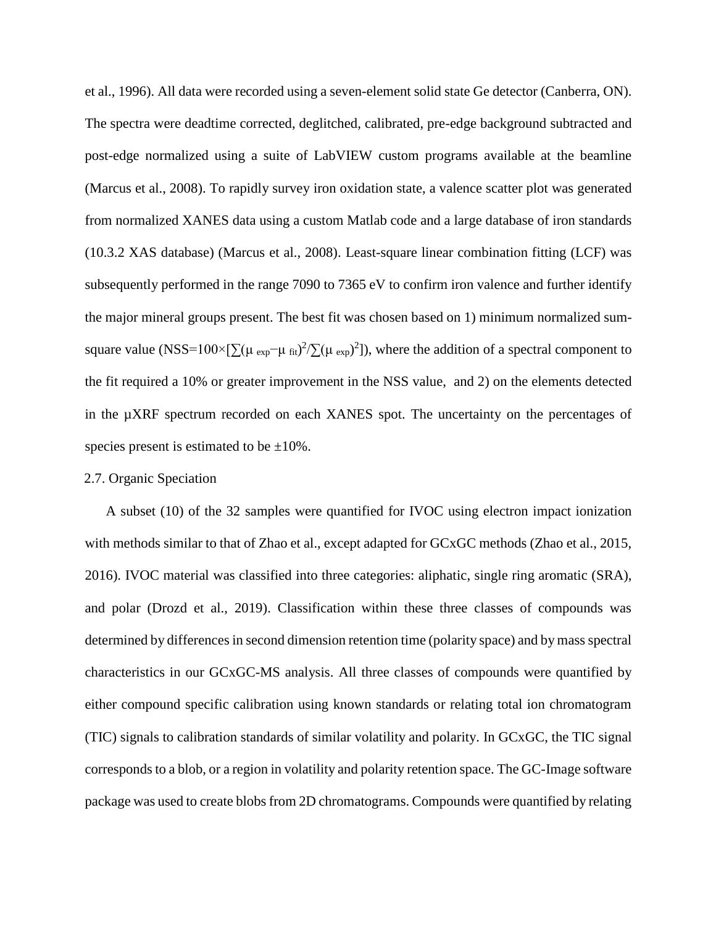et al., 1996). All data were recorded using a seven-element solid state Ge detector (Canberra, ON). The spectra were deadtime corrected, deglitched, calibrated, pre-edge background subtracted and post-edge normalized using a suite of LabVIEW custom programs available at the beamline (Marcus et al., 2008). To rapidly survey iron oxidation state, a valence scatter plot was generated from normalized XANES data using a custom Matlab code and a large database of iron standards (10.3.2 XAS database) (Marcus et al., 2008). Least-square linear combination fitting (LCF) was subsequently performed in the range 7090 to 7365 eV to confirm iron valence and further identify the major mineral groups present. The best fit was chosen based on 1) minimum normalized sumsquare value (NSS=100×[ $\sum (\mu_{exp} - \mu_{fit})^2 / \sum (\mu_{exp})^2$ ]), where the addition of a spectral component to the fit required a 10% or greater improvement in the NSS value, and 2) on the elements detected in the µXRF spectrum recorded on each XANES spot. The uncertainty on the percentages of species present is estimated to be  $\pm 10\%$ .

#### 2.7. Organic Speciation

A subset (10) of the 32 samples were quantified for IVOC using electron impact ionization with methods similar to that of Zhao et al., except adapted for GCxGC methods (Zhao et al., 2015, 2016). IVOC material was classified into three categories: aliphatic, single ring aromatic (SRA), and polar (Drozd et al., 2019). Classification within these three classes of compounds was determined by differences in second dimension retention time (polarity space) and by mass spectral characteristics in our GCxGC-MS analysis. All three classes of compounds were quantified by either compound specific calibration using known standards or relating total ion chromatogram (TIC) signals to calibration standards of similar volatility and polarity. In GCxGC, the TIC signal corresponds to a blob, or a region in volatility and polarity retention space. The GC-Image software package was used to create blobs from 2D chromatograms. Compounds were quantified by relating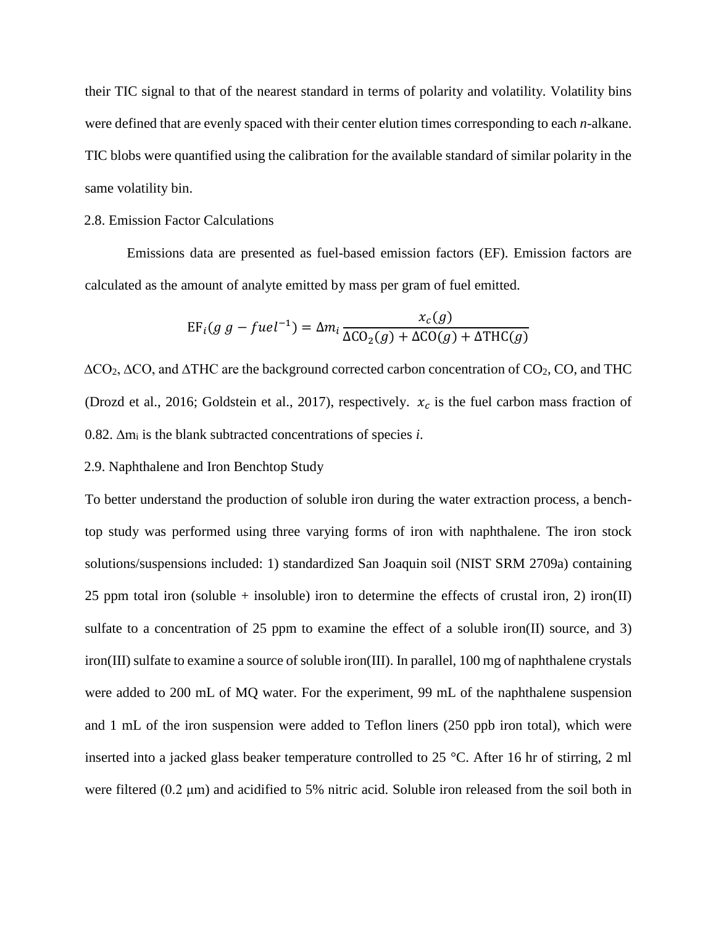their TIC signal to that of the nearest standard in terms of polarity and volatility. Volatility bins were defined that are evenly spaced with their center elution times corresponding to each *n*-alkane. TIC blobs were quantified using the calibration for the available standard of similar polarity in the same volatility bin.

### 2.8. Emission Factor Calculations

Emissions data are presented as fuel-based emission factors (EF). Emission factors are calculated as the amount of analyte emitted by mass per gram of fuel emitted.

$$
EF_i(g g - fuel^{-1}) = \Delta m_i \frac{x_c(g)}{\Delta CO_2(g) + \Delta CO(g) + \Delta THC(g)}
$$

∆CO2, ∆CO, and ∆THC are the background corrected carbon concentration of CO2, CO, and THC (Drozd et al., 2016; Goldstein et al., 2017), respectively.  $x_c$  is the fuel carbon mass fraction of 0.82. ∆m<sup>i</sup> is the blank subtracted concentrations of species *i*.

#### 2.9. Naphthalene and Iron Benchtop Study

To better understand the production of soluble iron during the water extraction process, a benchtop study was performed using three varying forms of iron with naphthalene. The iron stock solutions/suspensions included: 1) standardized San Joaquin soil (NIST SRM 2709a) containing 25 ppm total iron (soluble + insoluble) iron to determine the effects of crustal iron, 2) iron(II) sulfate to a concentration of 25 ppm to examine the effect of a soluble iron(II) source, and 3) iron(III) sulfate to examine a source of soluble iron(III). In parallel, 100 mg of naphthalene crystals were added to 200 mL of MQ water. For the experiment, 99 mL of the naphthalene suspension and 1 mL of the iron suspension were added to Teflon liners (250 ppb iron total), which were inserted into a jacked glass beaker temperature controlled to 25 °C. After 16 hr of stirring, 2 ml were filtered (0.2 μm) and acidified to 5% nitric acid. Soluble iron released from the soil both in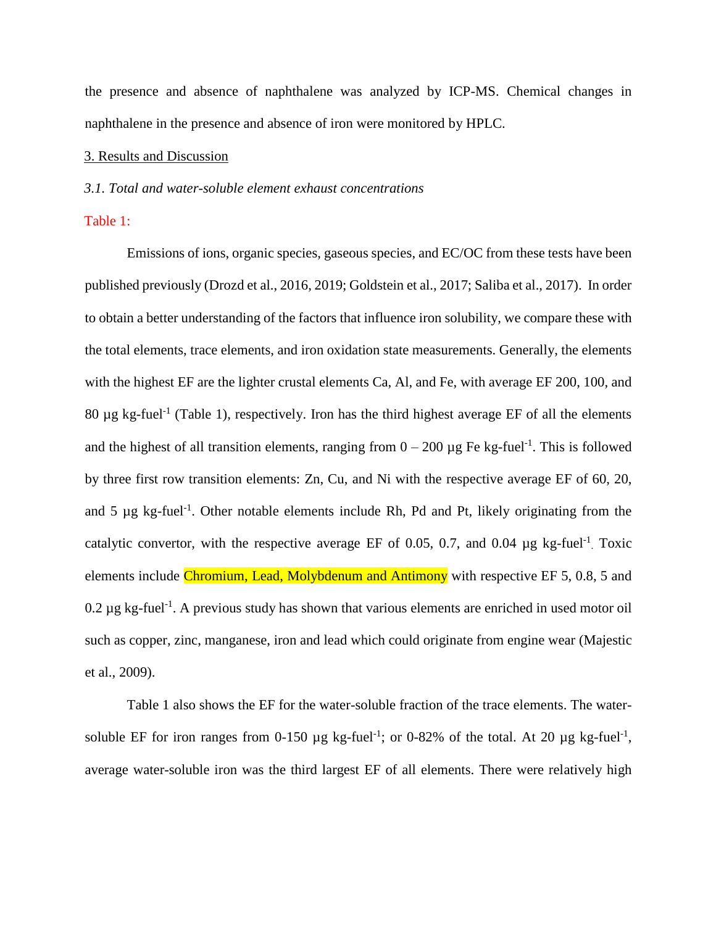the presence and absence of naphthalene was analyzed by ICP-MS. Chemical changes in naphthalene in the presence and absence of iron were monitored by HPLC.

### 3. Results and Discussion

#### *3.1. Total and water-soluble element exhaust concentrations*

## Table 1:

Emissions of ions, organic species, gaseous species, and EC/OC from these tests have been published previously (Drozd et al., 2016, 2019; Goldstein et al., 2017; Saliba et al., 2017). In order to obtain a better understanding of the factors that influence iron solubility, we compare these with the total elements, trace elements, and iron oxidation state measurements. Generally, the elements with the highest EF are the lighter crustal elements Ca, Al, and Fe, with average EF 200, 100, and 80  $\mu$ g kg-fuel<sup>-1</sup> (Table 1), respectively. Iron has the third highest average EF of all the elements and the highest of all transition elements, ranging from  $0 - 200 \mu$ g Fe kg-fuel<sup>-1</sup>. This is followed by three first row transition elements: Zn, Cu, and Ni with the respective average EF of 60, 20, and  $5 \mu g$  kg-fuel<sup>-1</sup>. Other notable elements include Rh, Pd and Pt, likely originating from the catalytic convertor, with the respective average EF of 0.05, 0.7, and 0.04  $\mu$ g kg-fuel<sup>-1</sup>. Toxic elements include Chromium, Lead, Molybdenum and Antimony with respective EF 5, 0.8, 5 and  $0.2 \,\mu$ g kg-fuel<sup>-1</sup>. A previous study has shown that various elements are enriched in used motor oil such as copper, zinc, manganese, iron and lead which could originate from engine wear (Majestic et al., 2009).

Table 1 also shows the EF for the water-soluble fraction of the trace elements. The watersoluble EF for iron ranges from 0-150  $\mu$ g kg-fuel<sup>-1</sup>; or 0-82% of the total. At 20  $\mu$ g kg-fuel<sup>-1</sup>, average water-soluble iron was the third largest EF of all elements. There were relatively high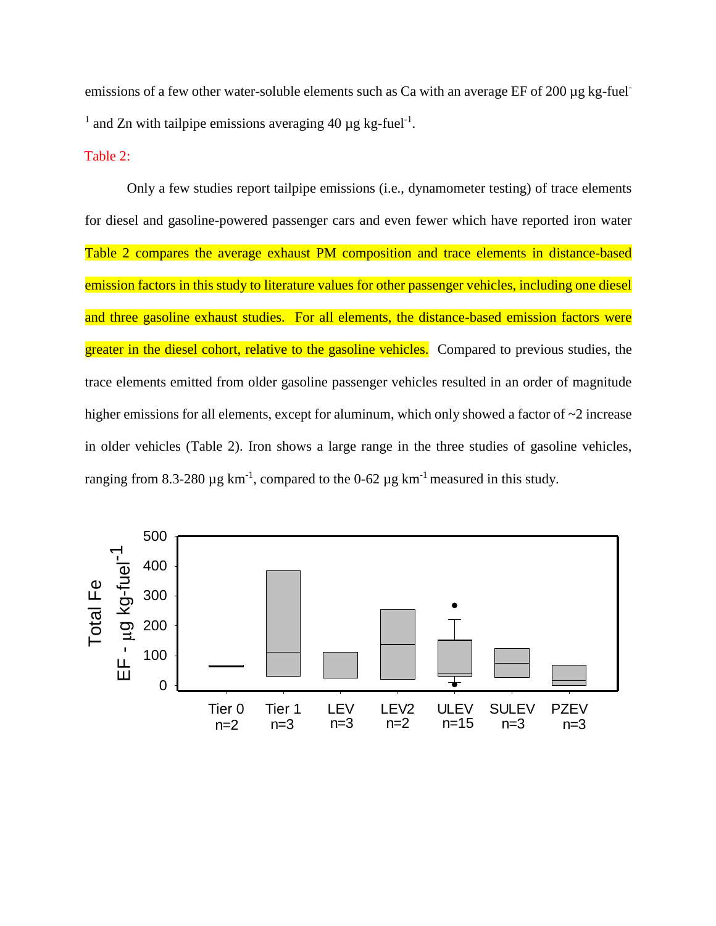emissions of a few other water-soluble elements such as Ca with an average EF of 200 µg kg-fuel-<sup>1</sup> and Zn with tailpipe emissions averaging 40  $\mu$ g kg-fuel<sup>-1</sup>.

Table 2:

Only a few studies report tailpipe emissions (i.e., dynamometer testing) of trace elements for diesel and gasoline-powered passenger cars and even fewer which have reported iron water Table 2 compares the average exhaust PM composition and trace elements in distance-based emission factors in this study to literature values for other passenger vehicles, including one diesel and three gasoline exhaust studies. For all elements, the distance-based emission factors were greater in the diesel cohort, relative to the gasoline vehicles. Compared to previous studies, the trace elements emitted from older gasoline passenger vehicles resulted in an order of magnitude higher emissions for all elements, except for aluminum, which only showed a factor of  $\sim$ 2 increase in older vehicles (Table 2). Iron shows a large range in the three studies of gasoline vehicles, ranging from 8.3-280  $\mu$ g km<sup>-1</sup>, compared to the 0-62  $\mu$ g km<sup>-1</sup> measured in this study.

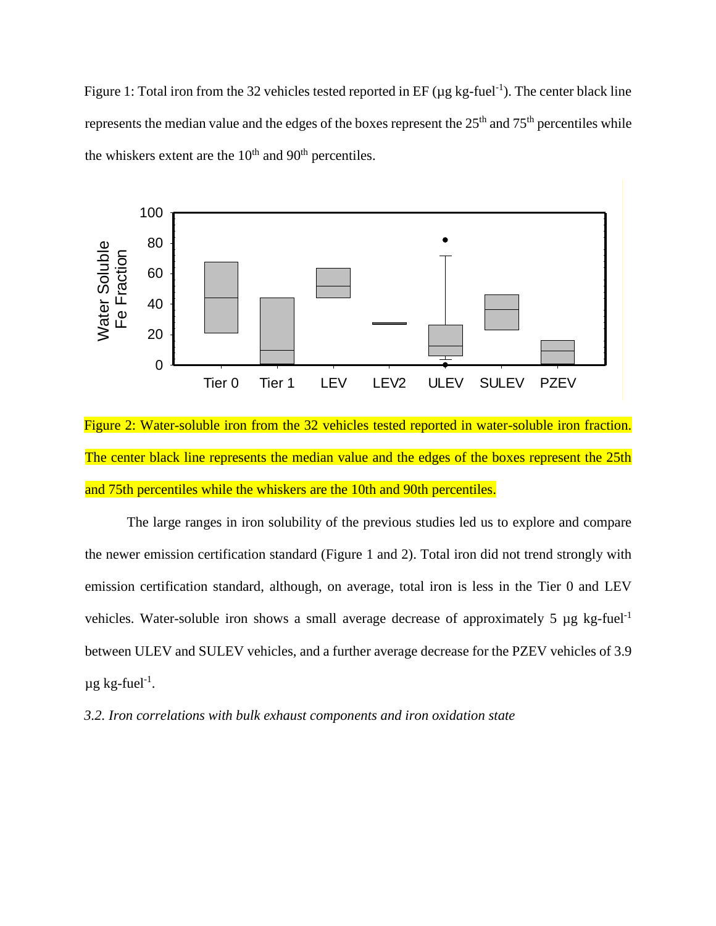Figure 1: Total iron from the 32 vehicles tested reported in EF ( $\mu$ g kg-fuel<sup>-1</sup>). The center black line represents the median value and the edges of the boxes represent the  $25<sup>th</sup>$  and  $75<sup>th</sup>$  percentiles while the whiskers extent are the  $10<sup>th</sup>$  and  $90<sup>th</sup>$  percentiles.



Figure 2: Water-soluble iron from the 32 vehicles tested reported in water-soluble iron fraction. The center black line represents the median value and the edges of the boxes represent the 25th and 75th percentiles while the whiskers are the 10th and 90th percentiles.

The large ranges in iron solubility of the previous studies led us to explore and compare the newer emission certification standard (Figure 1 and 2). Total iron did not trend strongly with emission certification standard, although, on average, total iron is less in the Tier 0 and LEV vehicles. Water-soluble iron shows a small average decrease of approximately 5  $\mu$ g kg-fuel<sup>-1</sup> between ULEV and SULEV vehicles, and a further average decrease for the PZEV vehicles of 3.9  $\mu$ g kg-fuel<sup>-1</sup>.

*3.2. Iron correlations with bulk exhaust components and iron oxidation state*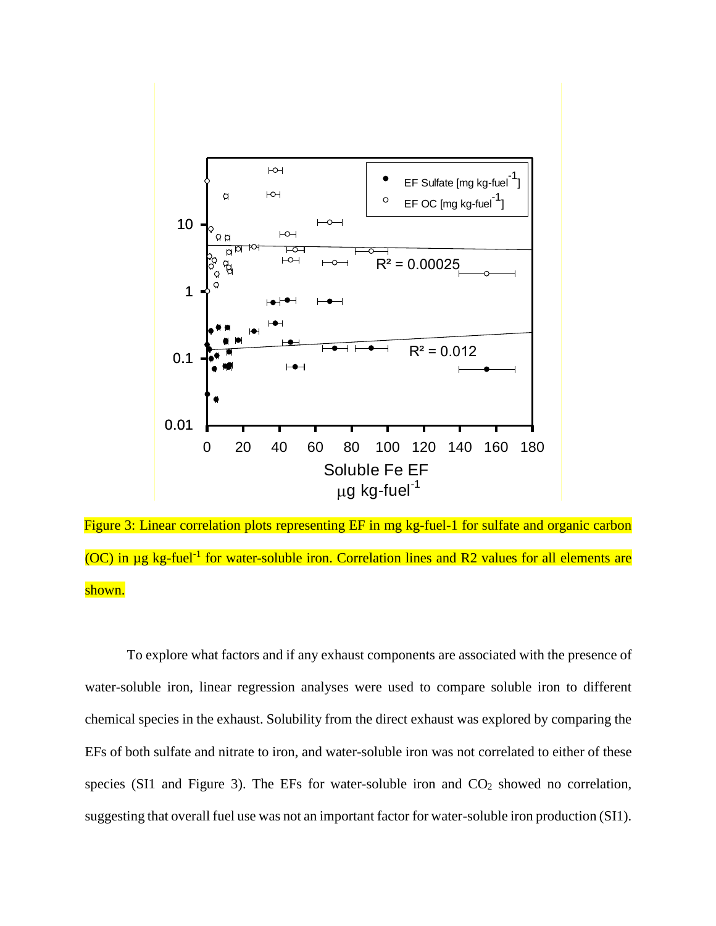

Figure 3: Linear correlation plots representing EF in mg kg-fuel-1 for sulfate and organic carbon  $(OC)$  in  $\mu$ g kg-fuel<sup>-1</sup> for water-soluble iron. Correlation lines and R2 values for all elements are shown.

To explore what factors and if any exhaust components are associated with the presence of water-soluble iron, linear regression analyses were used to compare soluble iron to different chemical species in the exhaust. Solubility from the direct exhaust was explored by comparing the EFs of both sulfate and nitrate to iron, and water-soluble iron was not correlated to either of these species (SI1 and Figure 3). The EFs for water-soluble iron and  $CO<sub>2</sub>$  showed no correlation, suggesting that overall fuel use was not an important factor for water-soluble iron production (SI1).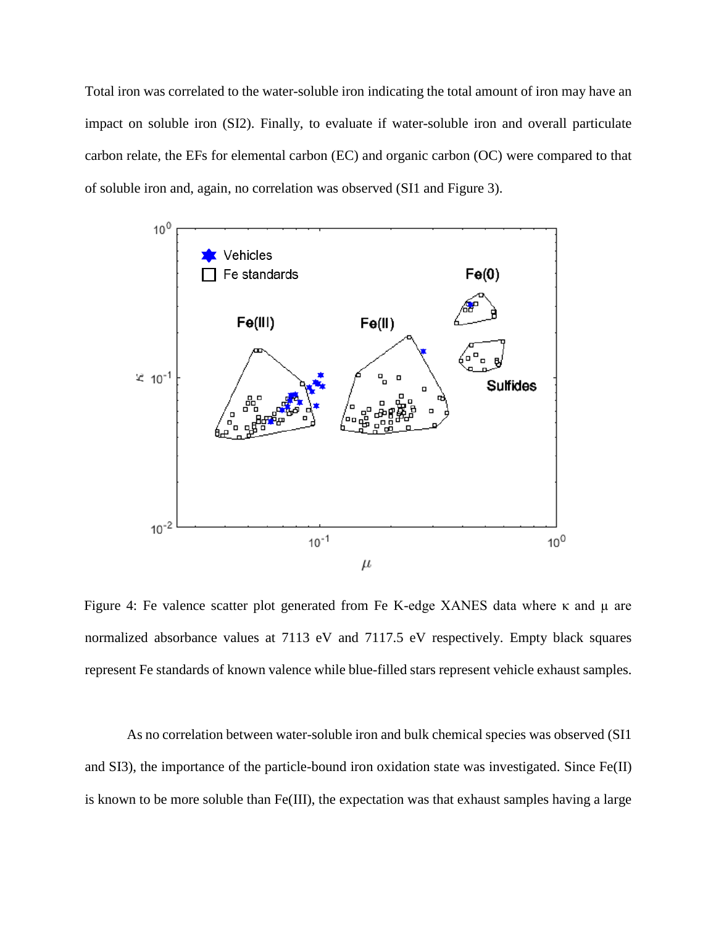Total iron was correlated to the water-soluble iron indicating the total amount of iron may have an impact on soluble iron (SI2). Finally, to evaluate if water-soluble iron and overall particulate carbon relate, the EFs for elemental carbon (EC) and organic carbon (OC) were compared to that of soluble iron and, again, no correlation was observed (SI1 and Figure 3).



Figure 4: Fe valence scatter plot generated from Fe K-edge XANES data where κ and µ are normalized absorbance values at 7113 eV and 7117.5 eV respectively. Empty black squares represent Fe standards of known valence while blue-filled stars represent vehicle exhaust samples.

As no correlation between water-soluble iron and bulk chemical species was observed (SI1 and SI3), the importance of the particle-bound iron oxidation state was investigated. Since Fe(II) is known to be more soluble than Fe(III), the expectation was that exhaust samples having a large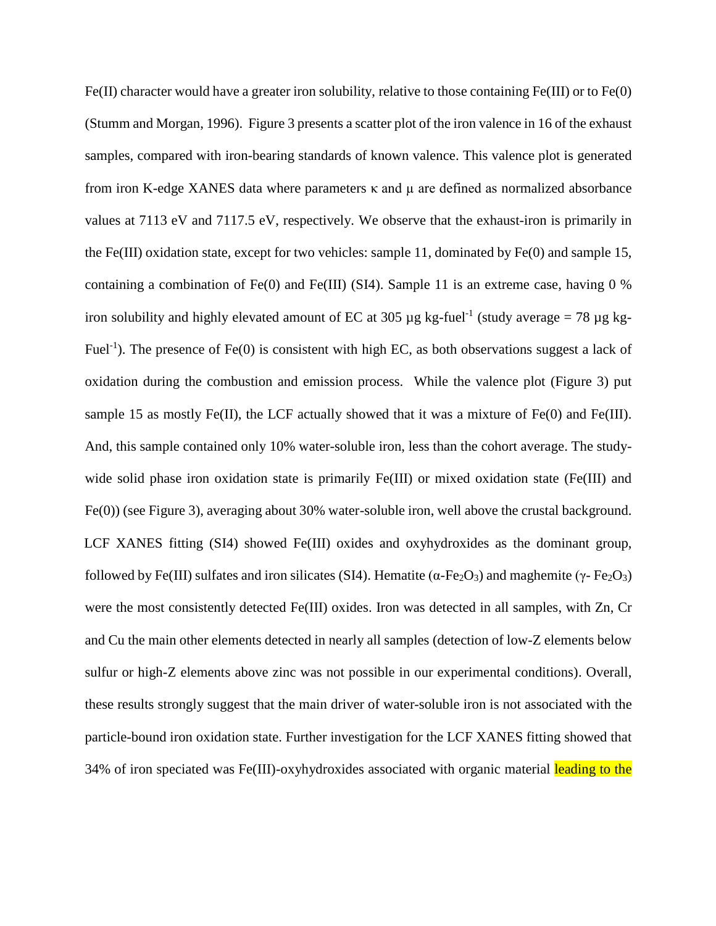Fe(II) character would have a greater iron solubility, relative to those containing Fe(III) or to Fe(0) (Stumm and Morgan, 1996). Figure 3 presents a scatter plot of the iron valence in 16 of the exhaust samples, compared with iron-bearing standards of known valence. This valence plot is generated from iron K-edge XANES data where parameters κ and µ are defined as normalized absorbance values at 7113 eV and 7117.5 eV, respectively. We observe that the exhaust-iron is primarily in the Fe(III) oxidation state, except for two vehicles: sample 11, dominated by Fe(0) and sample 15, containing a combination of Fe(0) and Fe(III) (SI4). Sample 11 is an extreme case, having 0 % iron solubility and highly elevated amount of EC at 305  $\mu$ g kg-fuel<sup>-1</sup> (study average = 78  $\mu$ g kg-Fuel<sup>-1</sup>). The presence of Fe(0) is consistent with high EC, as both observations suggest a lack of oxidation during the combustion and emission process. While the valence plot (Figure 3) put sample 15 as mostly Fe(II), the LCF actually showed that it was a mixture of Fe(0) and Fe(III). And, this sample contained only 10% water-soluble iron, less than the cohort average. The studywide solid phase iron oxidation state is primarily Fe(III) or mixed oxidation state (Fe(III) and Fe(0)) (see Figure 3), averaging about 30% water-soluble iron, well above the crustal background. LCF XANES fitting (SI4) showed Fe(III) oxides and oxyhydroxides as the dominant group, followed by Fe(III) sulfates and iron silicates (SI4). Hematite ( $\alpha$ -Fe<sub>2</sub>O<sub>3</sub>) and maghemite (γ- Fe<sub>2</sub>O<sub>3</sub>) were the most consistently detected Fe(III) oxides. Iron was detected in all samples, with Zn, Cr and Cu the main other elements detected in nearly all samples (detection of low-Z elements below sulfur or high-Z elements above zinc was not possible in our experimental conditions). Overall, these results strongly suggest that the main driver of water-soluble iron is not associated with the particle-bound iron oxidation state. Further investigation for the LCF XANES fitting showed that 34% of iron speciated was Fe(III)-oxyhydroxides associated with organic material leading to the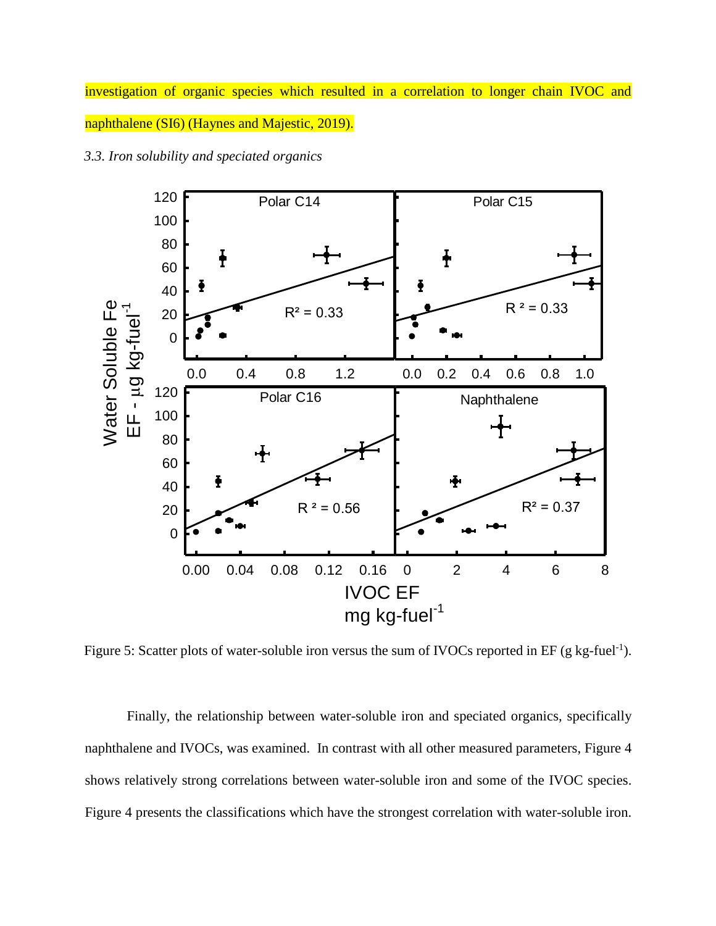investigation of organic species which resulted in a correlation to longer chain IVOC and naphthalene (SI6) (Haynes and Majestic, 2019).



*3.3. Iron solubility and speciated organics*

Figure 5: Scatter plots of water-soluble iron versus the sum of IVOCs reported in EF (g kg-fuel<sup>-1</sup>).

Finally, the relationship between water-soluble iron and speciated organics, specifically naphthalene and IVOCs, was examined. In contrast with all other measured parameters, Figure 4 shows relatively strong correlations between water-soluble iron and some of the IVOC species. Figure 4 presents the classifications which have the strongest correlation with water-soluble iron.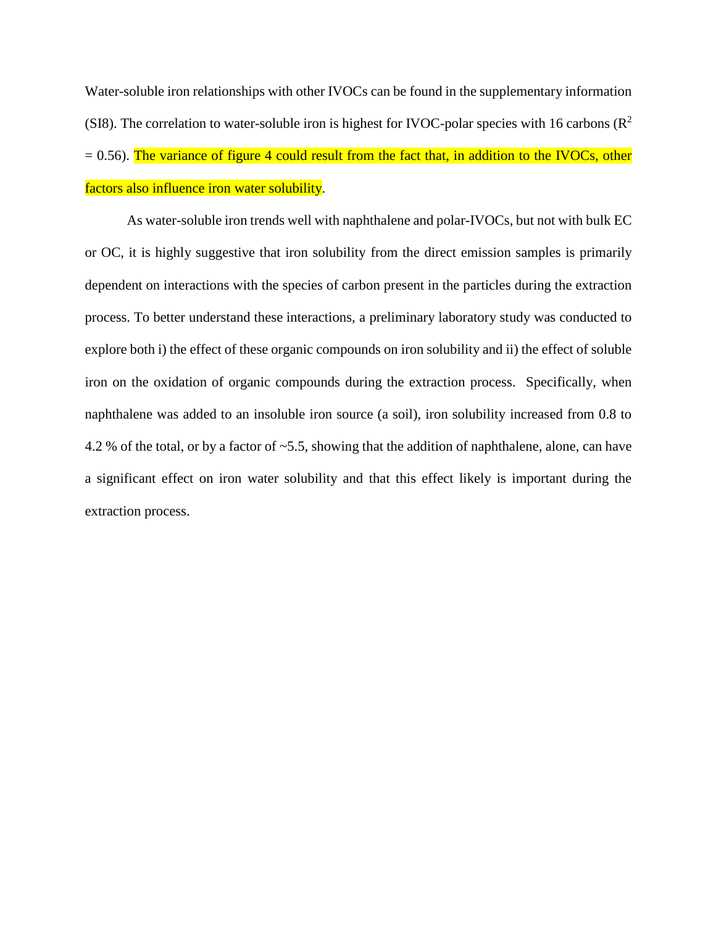Water-soluble iron relationships with other IVOCs can be found in the supplementary information (SI8). The correlation to water-soluble iron is highest for IVOC-polar species with 16 carbons ( $\mathbb{R}^2$ )  $= 0.56$ ). The variance of figure 4 could result from the fact that, in addition to the IVOCs, other factors also influence iron water solubility.

As water-soluble iron trends well with naphthalene and polar-IVOCs, but not with bulk EC or OC, it is highly suggestive that iron solubility from the direct emission samples is primarily dependent on interactions with the species of carbon present in the particles during the extraction process. To better understand these interactions, a preliminary laboratory study was conducted to explore both i) the effect of these organic compounds on iron solubility and ii) the effect of soluble iron on the oxidation of organic compounds during the extraction process. Specifically, when naphthalene was added to an insoluble iron source (a soil), iron solubility increased from 0.8 to 4.2 % of the total, or by a factor of ~5.5, showing that the addition of naphthalene, alone, can have a significant effect on iron water solubility and that this effect likely is important during the extraction process.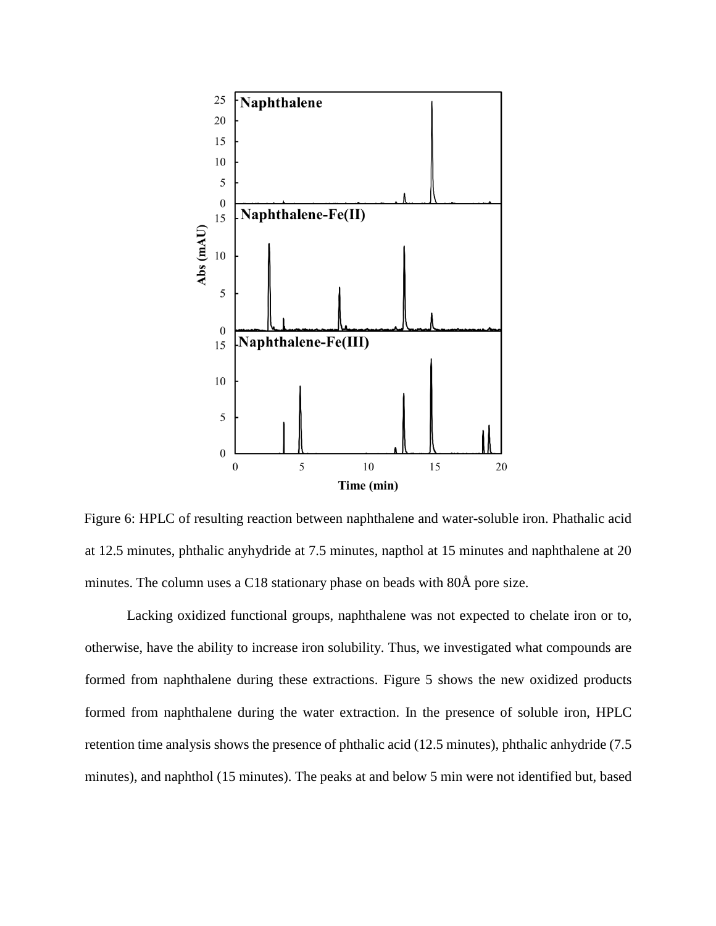

Figure 6: HPLC of resulting reaction between naphthalene and water-soluble iron. Phathalic acid at 12.5 minutes, phthalic anyhydride at 7.5 minutes, napthol at 15 minutes and naphthalene at 20 minutes. The column uses a C18 stationary phase on beads with 80Å pore size.

Lacking oxidized functional groups, naphthalene was not expected to chelate iron or to, otherwise, have the ability to increase iron solubility. Thus, we investigated what compounds are formed from naphthalene during these extractions. Figure 5 shows the new oxidized products formed from naphthalene during the water extraction. In the presence of soluble iron, HPLC retention time analysis shows the presence of phthalic acid (12.5 minutes), phthalic anhydride (7.5 minutes), and naphthol (15 minutes). The peaks at and below 5 min were not identified but, based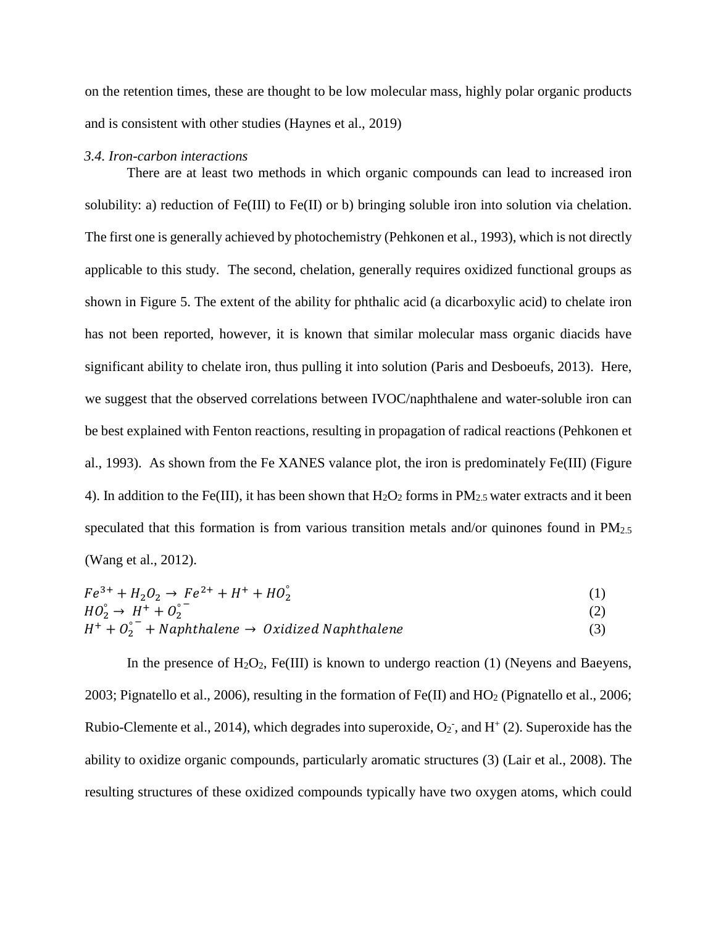on the retention times, these are thought to be low molecular mass, highly polar organic products and is consistent with other studies (Haynes et al., 2019)

#### *3.4. Iron-carbon interactions*

There are at least two methods in which organic compounds can lead to increased iron solubility: a) reduction of Fe(III) to Fe(II) or b) bringing soluble iron into solution via chelation. The first one is generally achieved by photochemistry (Pehkonen et al., 1993), which is not directly applicable to this study. The second, chelation, generally requires oxidized functional groups as shown in Figure 5. The extent of the ability for phthalic acid (a dicarboxylic acid) to chelate iron has not been reported, however, it is known that similar molecular mass organic diacids have significant ability to chelate iron, thus pulling it into solution (Paris and Desboeufs, 2013). Here, we suggest that the observed correlations between IVOC/naphthalene and water-soluble iron can be best explained with Fenton reactions, resulting in propagation of radical reactions (Pehkonen et al., 1993). As shown from the Fe XANES valance plot, the iron is predominately Fe(III) (Figure 4). In addition to the Fe(III), it has been shown that  $H_2O_2$  forms in  $PM_{2.5}$  water extracts and it been speculated that this formation is from various transition metals and/or quinones found in  $PM_{2,5}$ (Wang et al., 2012).

$$
Fe^{3+} + H_2O_2 \rightarrow Fe^{2+} + H^+ + HO_2^{\circ}
$$
  
\n
$$
HO_2^{\circ} \rightarrow H^+ + O_2^{\circ}^-
$$
\n(1)  
\n
$$
H_2O_2^{\circ} \rightarrow H^+ + O_2^{\circ}^-
$$
\n(2)

$$
H^{+} + O_{2}^{-} + Naphthalene \rightarrow Oxidized Naphthalene
$$
\n(3)

In the presence of  $H_2O_2$ , Fe(III) is known to undergo reaction (1) (Neyens and Baeyens, 2003; Pignatello et al., 2006), resulting in the formation of  $Fe(II)$  and  $HO<sub>2</sub>$  (Pignatello et al., 2006; Rubio-Clemente et al., 2014), which degrades into superoxide,  $O_2$ <sup>-</sup>, and  $H^+(2)$ . Superoxide has the ability to oxidize organic compounds, particularly aromatic structures (3) (Lair et al., 2008). The resulting structures of these oxidized compounds typically have two oxygen atoms, which could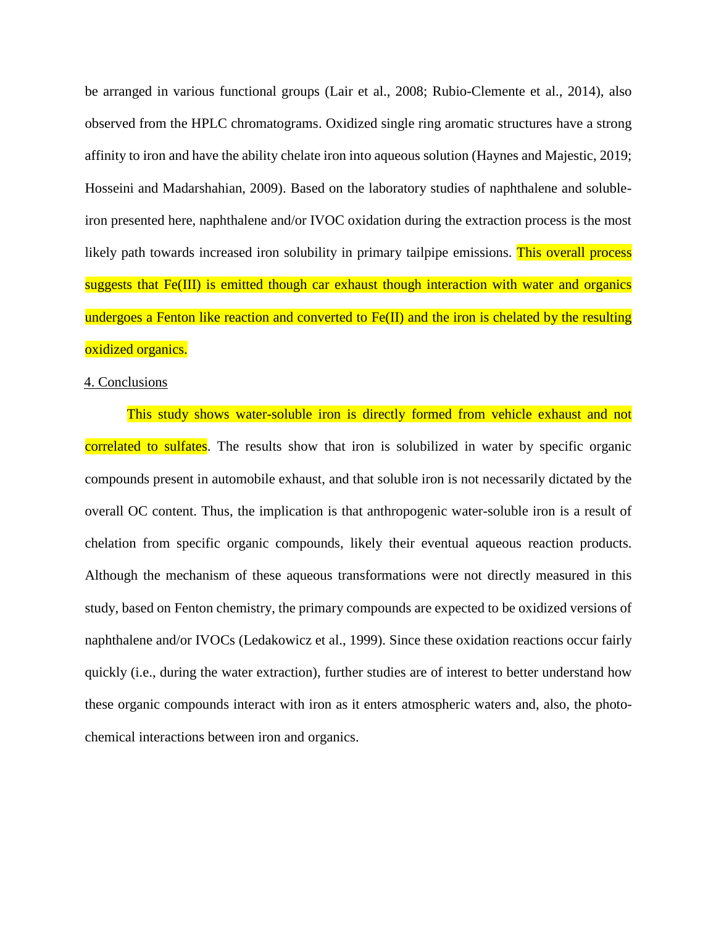be arranged in various functional groups (Lair et al., 2008; Rubio-Clemente et al., 2014), also observed from the HPLC chromatograms. Oxidized single ring aromatic structures have a strong affinity to iron and have the ability chelate iron into aqueous solution (Haynes and Majestic, 2019; Hosseini and Madarshahian, 2009). Based on the laboratory studies of naphthalene and solubleiron presented here, naphthalene and/or IVOC oxidation during the extraction process is the most likely path towards increased iron solubility in primary tailpipe emissions. This overall process suggests that Fe(III) is emitted though car exhaust though interaction with water and organics undergoes a Fenton like reaction and converted to Fe(II) and the iron is chelated by the resulting oxidized organics.

### 4. Conclusions

This study shows water-soluble iron is directly formed from vehicle exhaust and not correlated to sulfates. The results show that iron is solubilized in water by specific organic compounds present in automobile exhaust, and that soluble iron is not necessarily dictated by the overall OC content. Thus, the implication is that anthropogenic water-soluble iron is a result of chelation from specific organic compounds, likely their eventual aqueous reaction products. Although the mechanism of these aqueous transformations were not directly measured in this study, based on Fenton chemistry, the primary compounds are expected to be oxidized versions of naphthalene and/or IVOCs (Ledakowicz et al., 1999). Since these oxidation reactions occur fairly quickly (i.e., during the water extraction), further studies are of interest to better understand how these organic compounds interact with iron as it enters atmospheric waters and, also, the photochemical interactions between iron and organics.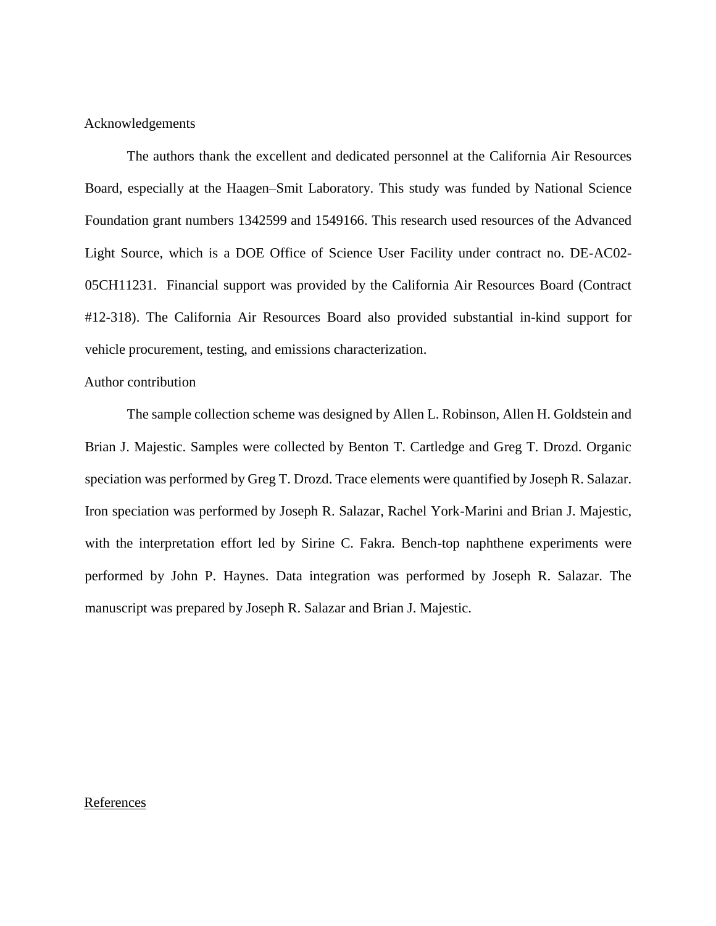### Acknowledgements

The authors thank the excellent and dedicated personnel at the California Air Resources Board, especially at the Haagen–Smit Laboratory. This study was funded by National Science Foundation grant numbers 1342599 and 1549166. This research used resources of the Advanced Light Source, which is a DOE Office of Science User Facility under contract no. DE-AC02- 05CH11231. Financial support was provided by the California Air Resources Board (Contract #12-318). The California Air Resources Board also provided substantial in-kind support for vehicle procurement, testing, and emissions characterization.

### Author contribution

The sample collection scheme was designed by Allen L. Robinson, Allen H. Goldstein and Brian J. Majestic. Samples were collected by Benton T. Cartledge and Greg T. Drozd. Organic speciation was performed by Greg T. Drozd. Trace elements were quantified by Joseph R. Salazar. Iron speciation was performed by Joseph R. Salazar, Rachel York-Marini and Brian J. Majestic, with the interpretation effort led by Sirine C. Fakra. Bench-top naphthene experiments were performed by John P. Haynes. Data integration was performed by Joseph R. Salazar. The manuscript was prepared by Joseph R. Salazar and Brian J. Majestic.

#### References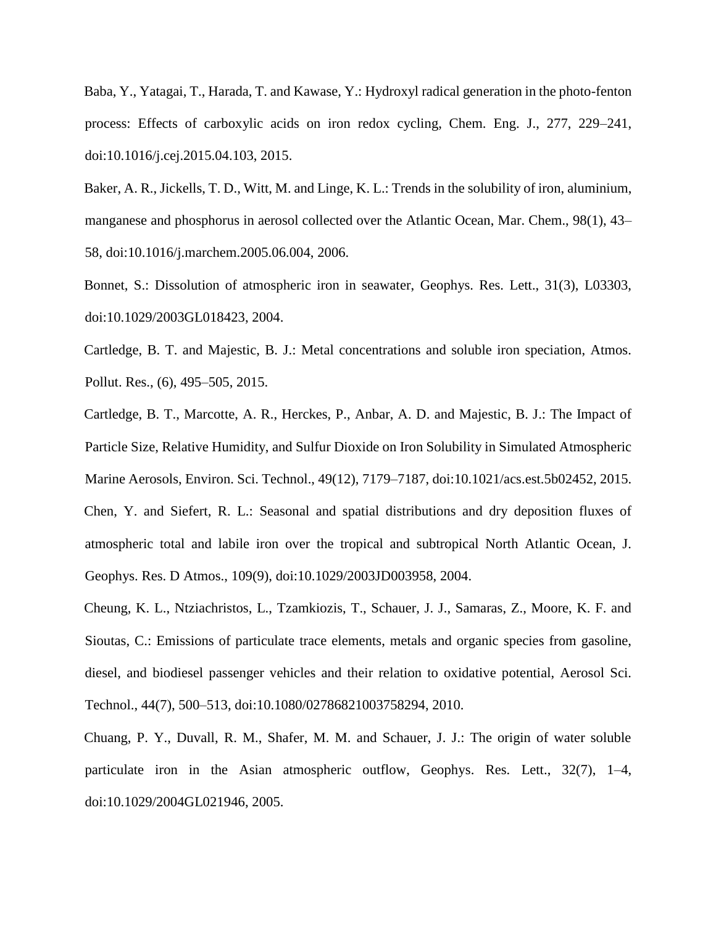Baba, Y., Yatagai, T., Harada, T. and Kawase, Y.: Hydroxyl radical generation in the photo-fenton process: Effects of carboxylic acids on iron redox cycling, Chem. Eng. J., 277, 229–241, doi:10.1016/j.cej.2015.04.103, 2015.

Baker, A. R., Jickells, T. D., Witt, M. and Linge, K. L.: Trends in the solubility of iron, aluminium, manganese and phosphorus in aerosol collected over the Atlantic Ocean, Mar. Chem., 98(1), 43– 58, doi:10.1016/j.marchem.2005.06.004, 2006.

Bonnet, S.: Dissolution of atmospheric iron in seawater, Geophys. Res. Lett., 31(3), L03303, doi:10.1029/2003GL018423, 2004.

Cartledge, B. T. and Majestic, B. J.: Metal concentrations and soluble iron speciation, Atmos. Pollut. Res., (6), 495–505, 2015.

Cartledge, B. T., Marcotte, A. R., Herckes, P., Anbar, A. D. and Majestic, B. J.: The Impact of Particle Size, Relative Humidity, and Sulfur Dioxide on Iron Solubility in Simulated Atmospheric Marine Aerosols, Environ. Sci. Technol., 49(12), 7179–7187, doi:10.1021/acs.est.5b02452, 2015. Chen, Y. and Siefert, R. L.: Seasonal and spatial distributions and dry deposition fluxes of atmospheric total and labile iron over the tropical and subtropical North Atlantic Ocean, J. Geophys. Res. D Atmos., 109(9), doi:10.1029/2003JD003958, 2004.

Cheung, K. L., Ntziachristos, L., Tzamkiozis, T., Schauer, J. J., Samaras, Z., Moore, K. F. and Sioutas, C.: Emissions of particulate trace elements, metals and organic species from gasoline, diesel, and biodiesel passenger vehicles and their relation to oxidative potential, Aerosol Sci. Technol., 44(7), 500–513, doi:10.1080/02786821003758294, 2010.

Chuang, P. Y., Duvall, R. M., Shafer, M. M. and Schauer, J. J.: The origin of water soluble particulate iron in the Asian atmospheric outflow, Geophys. Res. Lett., 32(7), 1–4, doi:10.1029/2004GL021946, 2005.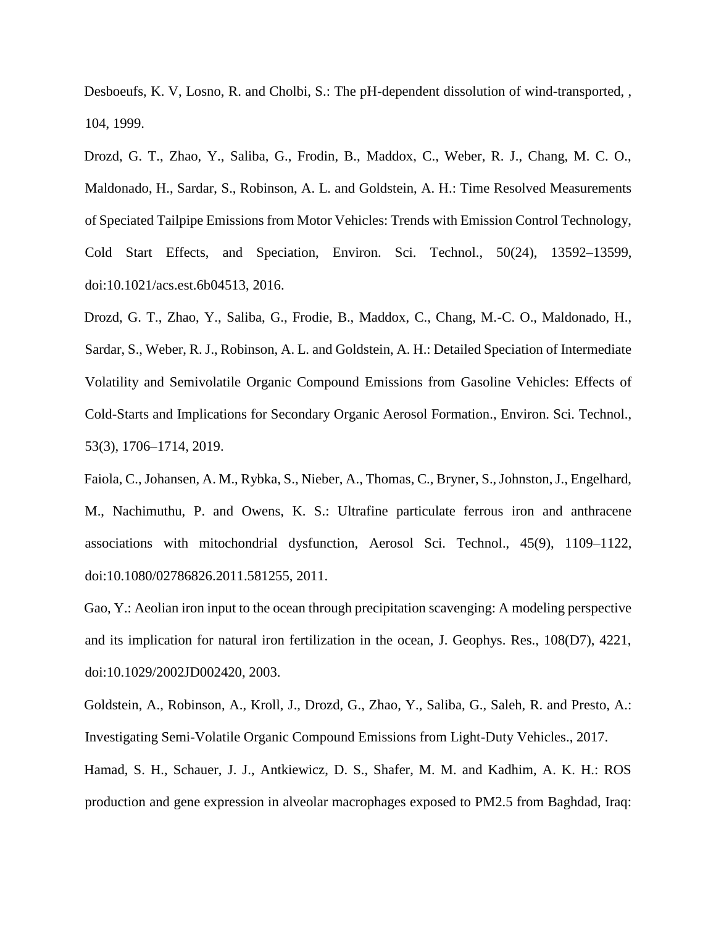Desboeufs, K. V, Losno, R. and Cholbi, S.: The pH-dependent dissolution of wind-transported, , 104, 1999.

Drozd, G. T., Zhao, Y., Saliba, G., Frodin, B., Maddox, C., Weber, R. J., Chang, M. C. O., Maldonado, H., Sardar, S., Robinson, A. L. and Goldstein, A. H.: Time Resolved Measurements of Speciated Tailpipe Emissions from Motor Vehicles: Trends with Emission Control Technology, Cold Start Effects, and Speciation, Environ. Sci. Technol., 50(24), 13592–13599, doi:10.1021/acs.est.6b04513, 2016.

Drozd, G. T., Zhao, Y., Saliba, G., Frodie, B., Maddox, C., Chang, M.-C. O., Maldonado, H., Sardar, S., Weber, R. J., Robinson, A. L. and Goldstein, A. H.: Detailed Speciation of Intermediate Volatility and Semivolatile Organic Compound Emissions from Gasoline Vehicles: Effects of Cold-Starts and Implications for Secondary Organic Aerosol Formation., Environ. Sci. Technol., 53(3), 1706–1714, 2019.

Faiola, C., Johansen, A. M., Rybka, S., Nieber, A., Thomas, C., Bryner, S., Johnston, J., Engelhard, M., Nachimuthu, P. and Owens, K. S.: Ultrafine particulate ferrous iron and anthracene associations with mitochondrial dysfunction, Aerosol Sci. Technol., 45(9), 1109–1122, doi:10.1080/02786826.2011.581255, 2011.

Gao, Y.: Aeolian iron input to the ocean through precipitation scavenging: A modeling perspective and its implication for natural iron fertilization in the ocean, J. Geophys. Res., 108(D7), 4221, doi:10.1029/2002JD002420, 2003.

Goldstein, A., Robinson, A., Kroll, J., Drozd, G., Zhao, Y., Saliba, G., Saleh, R. and Presto, A.: Investigating Semi-Volatile Organic Compound Emissions from Light-Duty Vehicles., 2017.

Hamad, S. H., Schauer, J. J., Antkiewicz, D. S., Shafer, M. M. and Kadhim, A. K. H.: ROS production and gene expression in alveolar macrophages exposed to PM2.5 from Baghdad, Iraq: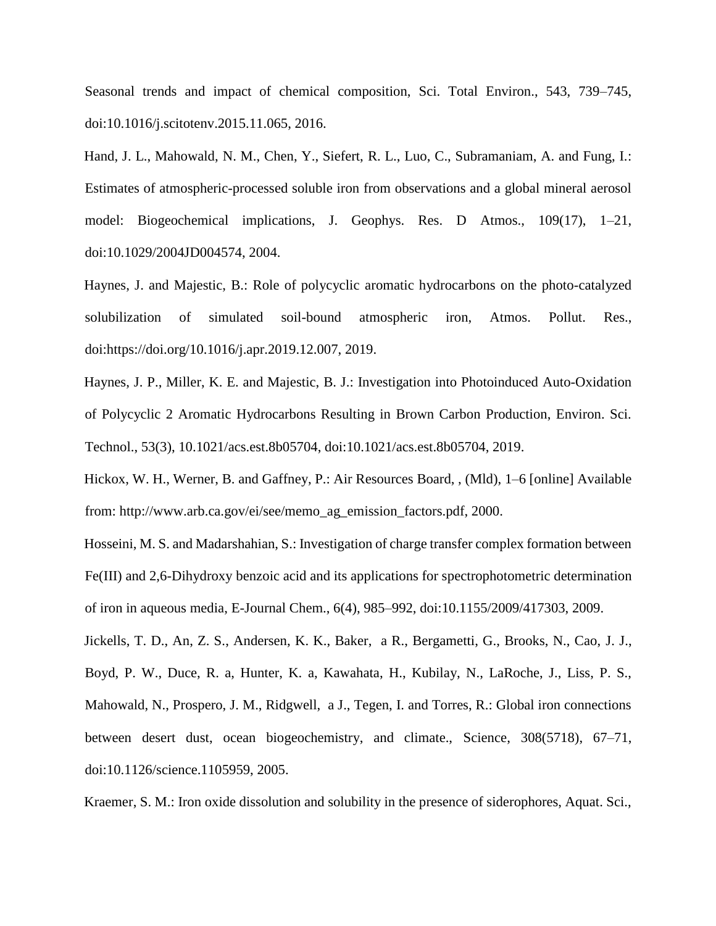Seasonal trends and impact of chemical composition, Sci. Total Environ., 543, 739–745, doi:10.1016/j.scitotenv.2015.11.065, 2016.

Hand, J. L., Mahowald, N. M., Chen, Y., Siefert, R. L., Luo, C., Subramaniam, A. and Fung, I.: Estimates of atmospheric-processed soluble iron from observations and a global mineral aerosol model: Biogeochemical implications, J. Geophys. Res. D Atmos., 109(17), 1–21, doi:10.1029/2004JD004574, 2004.

Haynes, J. and Majestic, B.: Role of polycyclic aromatic hydrocarbons on the photo-catalyzed solubilization of simulated soil-bound atmospheric iron, Atmos. Pollut. Res., doi:https://doi.org/10.1016/j.apr.2019.12.007, 2019.

Haynes, J. P., Miller, K. E. and Majestic, B. J.: Investigation into Photoinduced Auto-Oxidation of Polycyclic 2 Aromatic Hydrocarbons Resulting in Brown Carbon Production, Environ. Sci. Technol., 53(3), 10.1021/acs.est.8b05704, doi:10.1021/acs.est.8b05704, 2019.

Hickox, W. H., Werner, B. and Gaffney, P.: Air Resources Board, , (Mld), 1–6 [online] Available from: http://www.arb.ca.gov/ei/see/memo\_ag\_emission\_factors.pdf, 2000.

Hosseini, M. S. and Madarshahian, S.: Investigation of charge transfer complex formation between Fe(III) and 2,6-Dihydroxy benzoic acid and its applications for spectrophotometric determination of iron in aqueous media, E-Journal Chem., 6(4), 985–992, doi:10.1155/2009/417303, 2009.

Jickells, T. D., An, Z. S., Andersen, K. K., Baker, a R., Bergametti, G., Brooks, N., Cao, J. J., Boyd, P. W., Duce, R. a, Hunter, K. a, Kawahata, H., Kubilay, N., LaRoche, J., Liss, P. S., Mahowald, N., Prospero, J. M., Ridgwell, a J., Tegen, I. and Torres, R.: Global iron connections between desert dust, ocean biogeochemistry, and climate., Science, 308(5718), 67–71, doi:10.1126/science.1105959, 2005.

Kraemer, S. M.: Iron oxide dissolution and solubility in the presence of siderophores, Aquat. Sci.,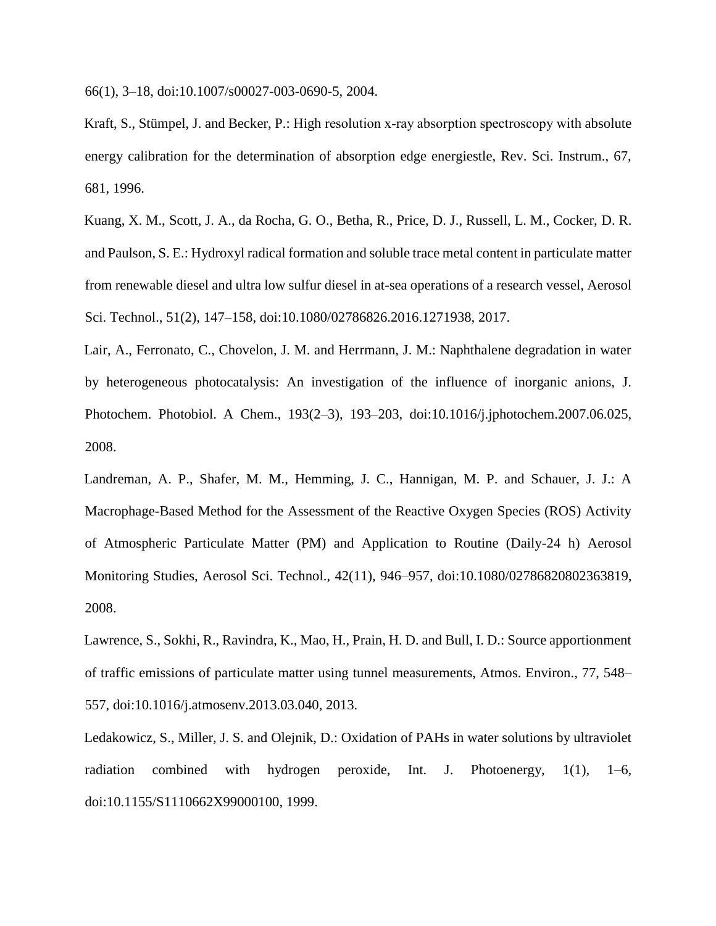66(1), 3–18, doi:10.1007/s00027-003-0690-5, 2004.

Kraft, S., Stümpel, J. and Becker, P.: High resolution x-ray absorption spectroscopy with absolute energy calibration for the determination of absorption edge energiestle, Rev. Sci. Instrum., 67, 681, 1996.

Kuang, X. M., Scott, J. A., da Rocha, G. O., Betha, R., Price, D. J., Russell, L. M., Cocker, D. R. and Paulson, S. E.: Hydroxyl radical formation and soluble trace metal content in particulate matter from renewable diesel and ultra low sulfur diesel in at-sea operations of a research vessel, Aerosol Sci. Technol., 51(2), 147–158, doi:10.1080/02786826.2016.1271938, 2017.

Lair, A., Ferronato, C., Chovelon, J. M. and Herrmann, J. M.: Naphthalene degradation in water by heterogeneous photocatalysis: An investigation of the influence of inorganic anions, J. Photochem. Photobiol. A Chem., 193(2–3), 193–203, doi:10.1016/j.jphotochem.2007.06.025, 2008.

Landreman, A. P., Shafer, M. M., Hemming, J. C., Hannigan, M. P. and Schauer, J. J.: A Macrophage-Based Method for the Assessment of the Reactive Oxygen Species (ROS) Activity of Atmospheric Particulate Matter (PM) and Application to Routine (Daily-24 h) Aerosol Monitoring Studies, Aerosol Sci. Technol., 42(11), 946–957, doi:10.1080/02786820802363819, 2008.

Lawrence, S., Sokhi, R., Ravindra, K., Mao, H., Prain, H. D. and Bull, I. D.: Source apportionment of traffic emissions of particulate matter using tunnel measurements, Atmos. Environ., 77, 548– 557, doi:10.1016/j.atmosenv.2013.03.040, 2013.

Ledakowicz, S., Miller, J. S. and Olejnik, D.: Oxidation of PAHs in water solutions by ultraviolet radiation combined with hydrogen peroxide, Int. J. Photoenergy, 1(1), 1–6, doi:10.1155/S1110662X99000100, 1999.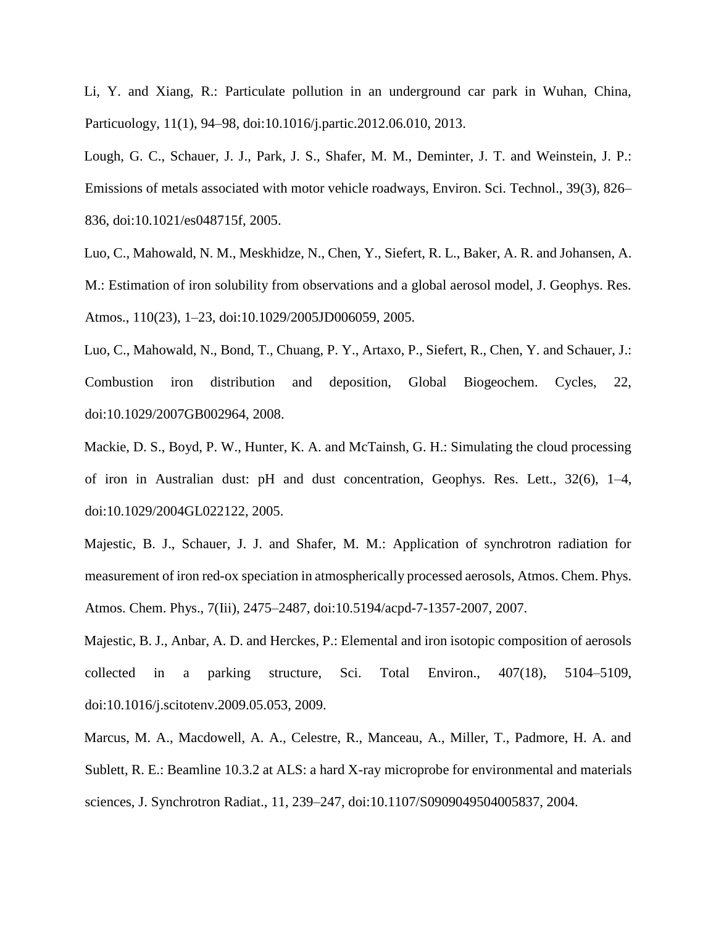Li, Y. and Xiang, R.: Particulate pollution in an underground car park in Wuhan, China, Particuology, 11(1), 94–98, doi:10.1016/j.partic.2012.06.010, 2013.

Lough, G. C., Schauer, J. J., Park, J. S., Shafer, M. M., Deminter, J. T. and Weinstein, J. P.: Emissions of metals associated with motor vehicle roadways, Environ. Sci. Technol., 39(3), 826– 836, doi:10.1021/es048715f, 2005.

Luo, C., Mahowald, N. M., Meskhidze, N., Chen, Y., Siefert, R. L., Baker, A. R. and Johansen, A. M.: Estimation of iron solubility from observations and a global aerosol model, J. Geophys. Res. Atmos., 110(23), 1–23, doi:10.1029/2005JD006059, 2005.

Luo, C., Mahowald, N., Bond, T., Chuang, P. Y., Artaxo, P., Siefert, R., Chen, Y. and Schauer, J.: Combustion iron distribution and deposition, Global Biogeochem. Cycles, 22, doi:10.1029/2007GB002964, 2008.

Mackie, D. S., Boyd, P. W., Hunter, K. A. and McTainsh, G. H.: Simulating the cloud processing of iron in Australian dust: pH and dust concentration, Geophys. Res. Lett., 32(6), 1–4, doi:10.1029/2004GL022122, 2005.

Majestic, B. J., Schauer, J. J. and Shafer, M. M.: Application of synchrotron radiation for measurement of iron red-ox speciation in atmospherically processed aerosols, Atmos. Chem. Phys. Atmos. Chem. Phys., 7(Iii), 2475–2487, doi:10.5194/acpd-7-1357-2007, 2007.

Majestic, B. J., Anbar, A. D. and Herckes, P.: Elemental and iron isotopic composition of aerosols collected in a parking structure, Sci. Total Environ., 407(18), 5104–5109, doi:10.1016/j.scitotenv.2009.05.053, 2009.

Marcus, M. A., Macdowell, A. A., Celestre, R., Manceau, A., Miller, T., Padmore, H. A. and Sublett, R. E.: Beamline 10.3.2 at ALS: a hard X-ray microprobe for environmental and materials sciences, J. Synchrotron Radiat., 11, 239–247, doi:10.1107/S0909049504005837, 2004.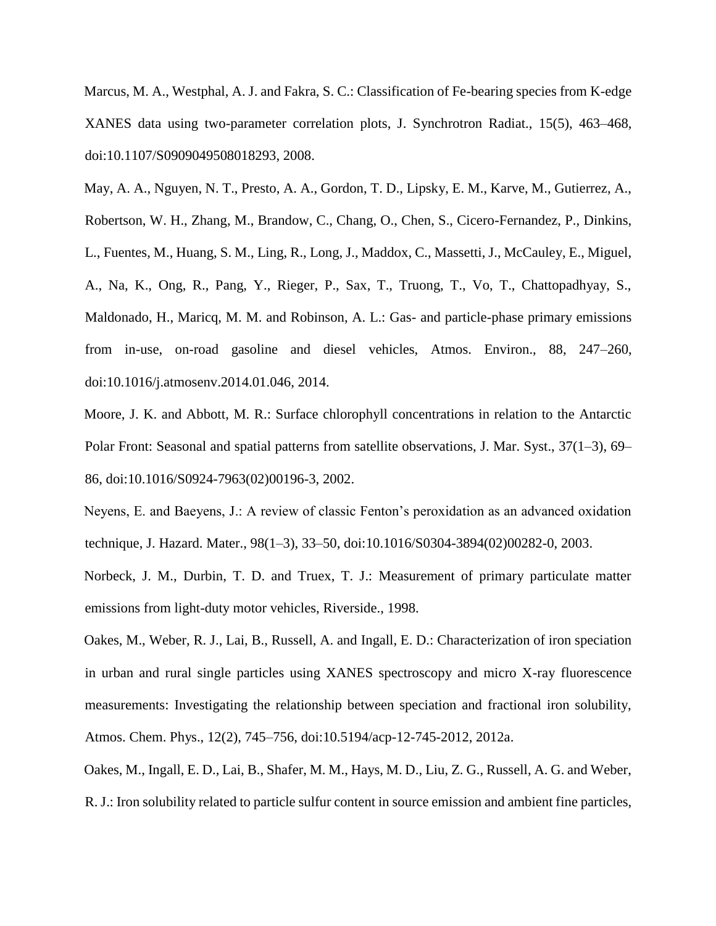Marcus, M. A., Westphal, A. J. and Fakra, S. C.: Classification of Fe-bearing species from K-edge XANES data using two-parameter correlation plots, J. Synchrotron Radiat., 15(5), 463–468, doi:10.1107/S0909049508018293, 2008.

May, A. A., Nguyen, N. T., Presto, A. A., Gordon, T. D., Lipsky, E. M., Karve, M., Gutierrez, A., Robertson, W. H., Zhang, M., Brandow, C., Chang, O., Chen, S., Cicero-Fernandez, P., Dinkins, L., Fuentes, M., Huang, S. M., Ling, R., Long, J., Maddox, C., Massetti, J., McCauley, E., Miguel, A., Na, K., Ong, R., Pang, Y., Rieger, P., Sax, T., Truong, T., Vo, T., Chattopadhyay, S., Maldonado, H., Maricq, M. M. and Robinson, A. L.: Gas- and particle-phase primary emissions from in-use, on-road gasoline and diesel vehicles, Atmos. Environ., 88, 247–260, doi:10.1016/j.atmosenv.2014.01.046, 2014.

Moore, J. K. and Abbott, M. R.: Surface chlorophyll concentrations in relation to the Antarctic Polar Front: Seasonal and spatial patterns from satellite observations, J. Mar. Syst., 37(1–3), 69– 86, doi:10.1016/S0924-7963(02)00196-3, 2002.

Neyens, E. and Baeyens, J.: A review of classic Fenton's peroxidation as an advanced oxidation technique, J. Hazard. Mater., 98(1–3), 33–50, doi:10.1016/S0304-3894(02)00282-0, 2003.

Norbeck, J. M., Durbin, T. D. and Truex, T. J.: Measurement of primary particulate matter emissions from light-duty motor vehicles, Riverside., 1998.

Oakes, M., Weber, R. J., Lai, B., Russell, A. and Ingall, E. D.: Characterization of iron speciation in urban and rural single particles using XANES spectroscopy and micro X-ray fluorescence measurements: Investigating the relationship between speciation and fractional iron solubility, Atmos. Chem. Phys., 12(2), 745–756, doi:10.5194/acp-12-745-2012, 2012a.

Oakes, M., Ingall, E. D., Lai, B., Shafer, M. M., Hays, M. D., Liu, Z. G., Russell, A. G. and Weber, R. J.: Iron solubility related to particle sulfur content in source emission and ambient fine particles,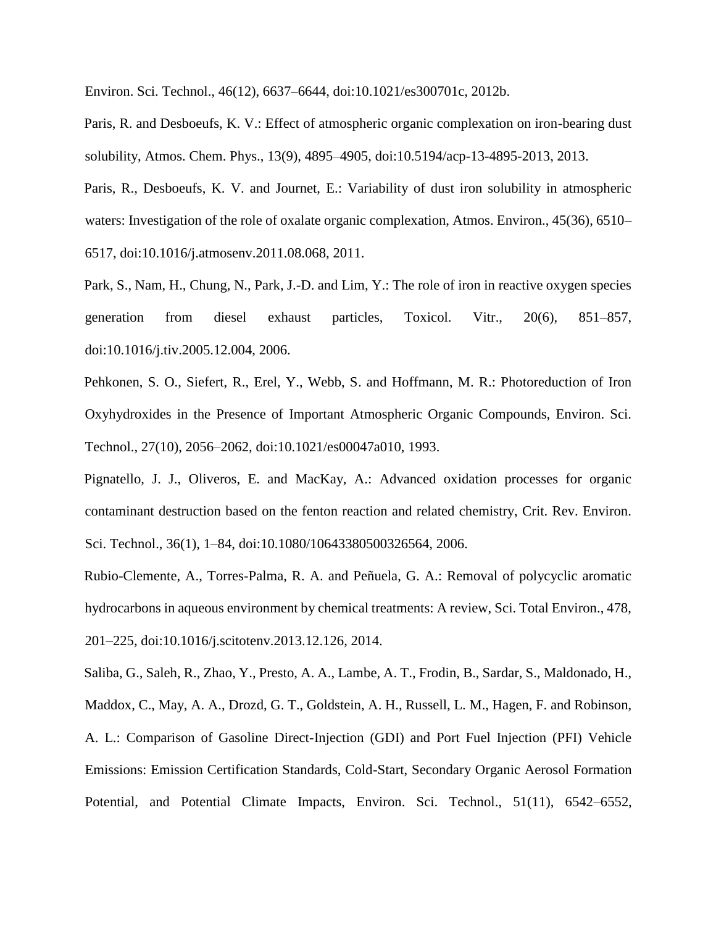Environ. Sci. Technol., 46(12), 6637–6644, doi:10.1021/es300701c, 2012b.

Paris, R. and Desboeufs, K. V.: Effect of atmospheric organic complexation on iron-bearing dust solubility, Atmos. Chem. Phys., 13(9), 4895–4905, doi:10.5194/acp-13-4895-2013, 2013.

Paris, R., Desboeufs, K. V. and Journet, E.: Variability of dust iron solubility in atmospheric waters: Investigation of the role of oxalate organic complexation, Atmos. Environ., 45(36), 6510– 6517, doi:10.1016/j.atmosenv.2011.08.068, 2011.

Park, S., Nam, H., Chung, N., Park, J.-D. and Lim, Y.: The role of iron in reactive oxygen species generation from diesel exhaust particles, Toxicol. Vitr., 20(6), 851–857, doi:10.1016/j.tiv.2005.12.004, 2006.

Pehkonen, S. O., Siefert, R., Erel, Y., Webb, S. and Hoffmann, M. R.: Photoreduction of Iron Oxyhydroxides in the Presence of Important Atmospheric Organic Compounds, Environ. Sci. Technol., 27(10), 2056–2062, doi:10.1021/es00047a010, 1993.

Pignatello, J. J., Oliveros, E. and MacKay, A.: Advanced oxidation processes for organic contaminant destruction based on the fenton reaction and related chemistry, Crit. Rev. Environ. Sci. Technol., 36(1), 1–84, doi:10.1080/10643380500326564, 2006.

Rubio-Clemente, A., Torres-Palma, R. A. and Peñuela, G. A.: Removal of polycyclic aromatic hydrocarbons in aqueous environment by chemical treatments: A review, Sci. Total Environ., 478, 201–225, doi:10.1016/j.scitotenv.2013.12.126, 2014.

Saliba, G., Saleh, R., Zhao, Y., Presto, A. A., Lambe, A. T., Frodin, B., Sardar, S., Maldonado, H., Maddox, C., May, A. A., Drozd, G. T., Goldstein, A. H., Russell, L. M., Hagen, F. and Robinson, A. L.: Comparison of Gasoline Direct-Injection (GDI) and Port Fuel Injection (PFI) Vehicle Emissions: Emission Certification Standards, Cold-Start, Secondary Organic Aerosol Formation Potential, and Potential Climate Impacts, Environ. Sci. Technol., 51(11), 6542–6552,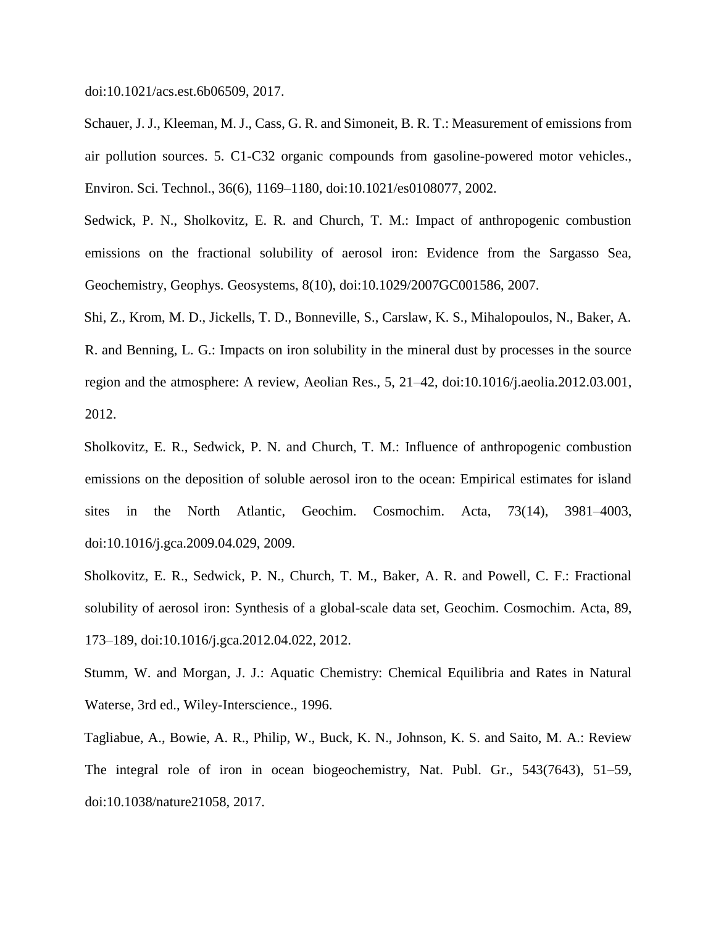doi:10.1021/acs.est.6b06509, 2017.

Schauer, J. J., Kleeman, M. J., Cass, G. R. and Simoneit, B. R. T.: Measurement of emissions from air pollution sources. 5. C1-C32 organic compounds from gasoline-powered motor vehicles., Environ. Sci. Technol., 36(6), 1169–1180, doi:10.1021/es0108077, 2002.

Sedwick, P. N., Sholkovitz, E. R. and Church, T. M.: Impact of anthropogenic combustion emissions on the fractional solubility of aerosol iron: Evidence from the Sargasso Sea, Geochemistry, Geophys. Geosystems, 8(10), doi:10.1029/2007GC001586, 2007.

Shi, Z., Krom, M. D., Jickells, T. D., Bonneville, S., Carslaw, K. S., Mihalopoulos, N., Baker, A. R. and Benning, L. G.: Impacts on iron solubility in the mineral dust by processes in the source region and the atmosphere: A review, Aeolian Res., 5, 21–42, doi:10.1016/j.aeolia.2012.03.001, 2012.

Sholkovitz, E. R., Sedwick, P. N. and Church, T. M.: Influence of anthropogenic combustion emissions on the deposition of soluble aerosol iron to the ocean: Empirical estimates for island sites in the North Atlantic, Geochim. Cosmochim. Acta, 73(14), 3981–4003, doi:10.1016/j.gca.2009.04.029, 2009.

Sholkovitz, E. R., Sedwick, P. N., Church, T. M., Baker, A. R. and Powell, C. F.: Fractional solubility of aerosol iron: Synthesis of a global-scale data set, Geochim. Cosmochim. Acta, 89, 173–189, doi:10.1016/j.gca.2012.04.022, 2012.

Stumm, W. and Morgan, J. J.: Aquatic Chemistry: Chemical Equilibria and Rates in Natural Waterse, 3rd ed., Wiley-Interscience., 1996.

Tagliabue, A., Bowie, A. R., Philip, W., Buck, K. N., Johnson, K. S. and Saito, M. A.: Review The integral role of iron in ocean biogeochemistry, Nat. Publ. Gr., 543(7643), 51–59, doi:10.1038/nature21058, 2017.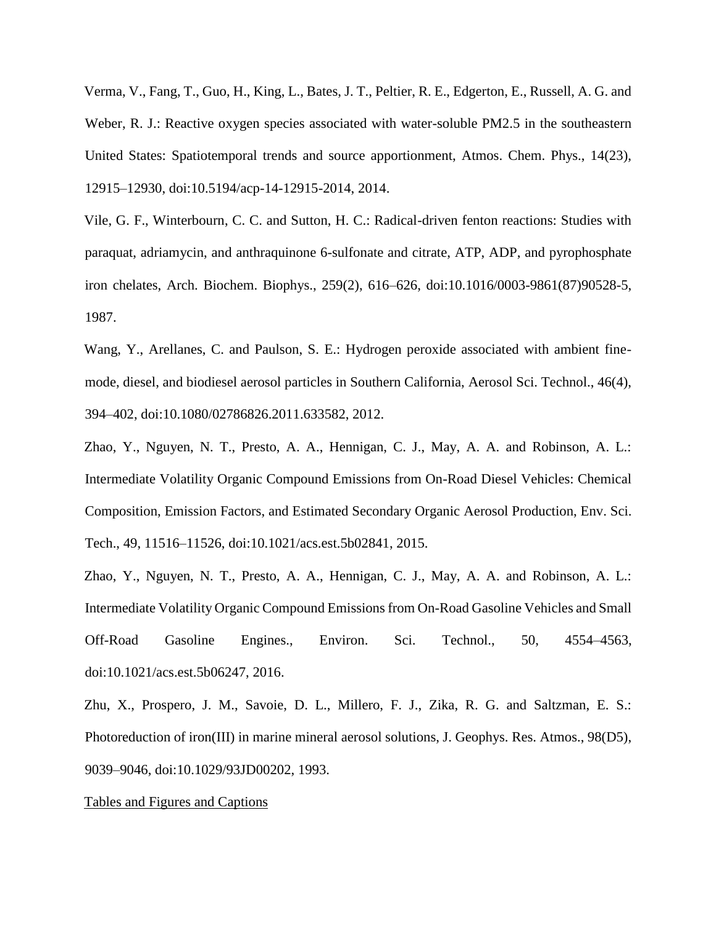Verma, V., Fang, T., Guo, H., King, L., Bates, J. T., Peltier, R. E., Edgerton, E., Russell, A. G. and Weber, R. J.: Reactive oxygen species associated with water-soluble PM2.5 in the southeastern United States: Spatiotemporal trends and source apportionment, Atmos. Chem. Phys., 14(23), 12915–12930, doi:10.5194/acp-14-12915-2014, 2014.

Vile, G. F., Winterbourn, C. C. and Sutton, H. C.: Radical-driven fenton reactions: Studies with paraquat, adriamycin, and anthraquinone 6-sulfonate and citrate, ATP, ADP, and pyrophosphate iron chelates, Arch. Biochem. Biophys., 259(2), 616–626, doi:10.1016/0003-9861(87)90528-5, 1987.

Wang, Y., Arellanes, C. and Paulson, S. E.: Hydrogen peroxide associated with ambient finemode, diesel, and biodiesel aerosol particles in Southern California, Aerosol Sci. Technol., 46(4), 394–402, doi:10.1080/02786826.2011.633582, 2012.

Zhao, Y., Nguyen, N. T., Presto, A. A., Hennigan, C. J., May, A. A. and Robinson, A. L.: Intermediate Volatility Organic Compound Emissions from On-Road Diesel Vehicles: Chemical Composition, Emission Factors, and Estimated Secondary Organic Aerosol Production, Env. Sci. Tech., 49, 11516–11526, doi:10.1021/acs.est.5b02841, 2015.

Zhao, Y., Nguyen, N. T., Presto, A. A., Hennigan, C. J., May, A. A. and Robinson, A. L.: Intermediate Volatility Organic Compound Emissions from On-Road Gasoline Vehicles and Small Off-Road Gasoline Engines., Environ. Sci. Technol., 50, 4554–4563, doi:10.1021/acs.est.5b06247, 2016.

Zhu, X., Prospero, J. M., Savoie, D. L., Millero, F. J., Zika, R. G. and Saltzman, E. S.: Photoreduction of iron(III) in marine mineral aerosol solutions, J. Geophys. Res. Atmos., 98(D5), 9039–9046, doi:10.1029/93JD00202, 1993.

#### Tables and Figures and Captions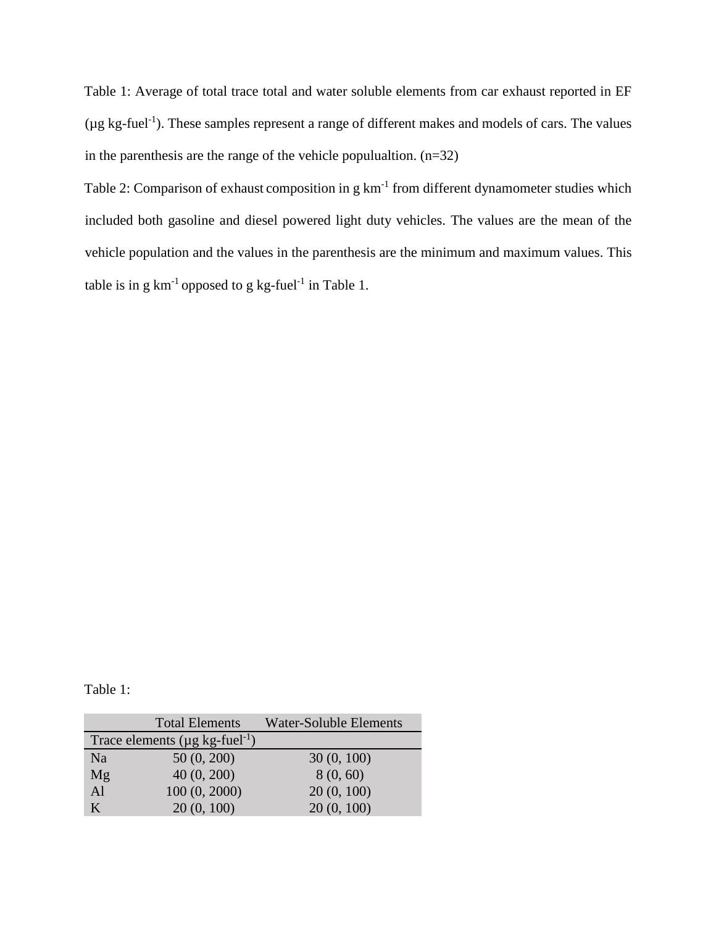Table 1: Average of total trace total and water soluble elements from car exhaust reported in EF  $(\mu g \, kg\text{-}fuel^{-1})$ . These samples represent a range of different makes and models of cars. The values in the parenthesis are the range of the vehicle populualtion.  $(n=32)$ 

Table 2: Comparison of exhaust composition in  $g \text{ km}^{-1}$  from different dynamometer studies which included both gasoline and diesel powered light duty vehicles. The values are the mean of the vehicle population and the values in the parenthesis are the minimum and maximum values. This table is in g  $km^{-1}$  opposed to g kg-fuel<sup>-1</sup> in Table 1.

Table 1:

|               | <b>Total Elements</b>                            | Water-Soluble Elements |
|---------------|--------------------------------------------------|------------------------|
|               | Trace elements ( $\mu$ g kg-fuel <sup>-1</sup> ) |                        |
| Na            | 50(0, 200)                                       | 30(0, 100)             |
| Mg            | 40(0, 200)                                       | 8(0, 60)               |
| $\mathbf{Al}$ | 100(0, 2000)                                     | 20(0, 100)             |
| K             | 20(0, 100)                                       | 20(0, 100)             |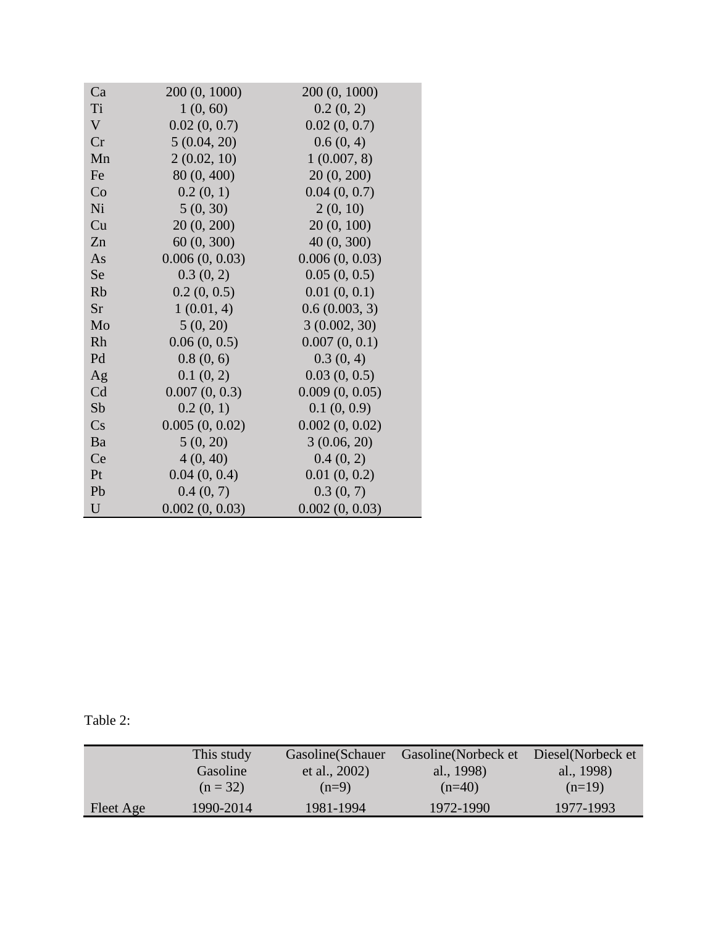| Ca          | 200 (0, 1000)  | 200 (0, 1000)  |
|-------------|----------------|----------------|
| Ti          | 1(0, 60)       | 0.2(0, 2)      |
| $\mathbf V$ | 0.02(0, 0.7)   | 0.02(0, 0.7)   |
| Cr          | 5(0.04, 20)    | 0.6(0, 4)      |
| Mn          | 2(0.02, 10)    | 1(0.007, 8)    |
| Fe          | 80 (0, 400)    | 20(0, 200)     |
| Co          | 0.2(0, 1)      | 0.04(0, 0.7)   |
| Ni          | 5(0, 30)       | 2(0, 10)       |
| Cu          | 20(0, 200)     | 20(0, 100)     |
| Zn          | 60 (0, 300)    | 40 (0, 300)    |
| As          | 0.006(0, 0.03) | 0.006(0, 0.03) |
| <b>Se</b>   | 0.3(0, 2)      | 0.05(0, 0.5)   |
| Rb          | 0.2(0, 0.5)    | 0.01(0, 0.1)   |
| <b>Sr</b>   | 1(0.01, 4)     | 0.6(0.003, 3)  |
| Mo          | 5(0, 20)       | 3(0.002, 30)   |
| Rh          | 0.06(0, 0.5)   | 0.007(0, 0.1)  |
| Pd          | 0.8(0, 6)      | 0.3(0, 4)      |
| Ag          | 0.1(0, 2)      | 0.03(0, 0.5)   |
| Cd          | 0.007(0, 0.3)  | 0.009(0, 0.05) |
| Sb          | 0.2(0, 1)      | 0.1(0, 0.9)    |
| Cs          | 0.005(0, 0.02) | 0.002(0, 0.02) |
| Ba          | 5(0, 20)       | 3(0.06, 20)    |
| Ce          | 4(0, 40)       | 0.4(0, 2)      |
| Pt          | 0.04(0, 0.4)   | 0.01(0, 0.2)   |
| Pb          | 0.4(0, 7)      | 0.3(0, 7)      |
| $\mathbf U$ | 0.002(0, 0.03) | 0.002(0, 0.03) |

Table 2:

|           | This study | Gasoline (Schauer | Gasoline (Norbeck et | Diesel (Norbeck et |
|-----------|------------|-------------------|----------------------|--------------------|
|           | Gasoline   | et al., $2002$ )  | al., 1998)           | al., 1998)         |
|           | $(n = 32)$ | $(n=9)$           | $(n=40)$             | $(n=19)$           |
| Fleet Age | 1990-2014  | 1981-1994         | 1972-1990            | 1977-1993          |